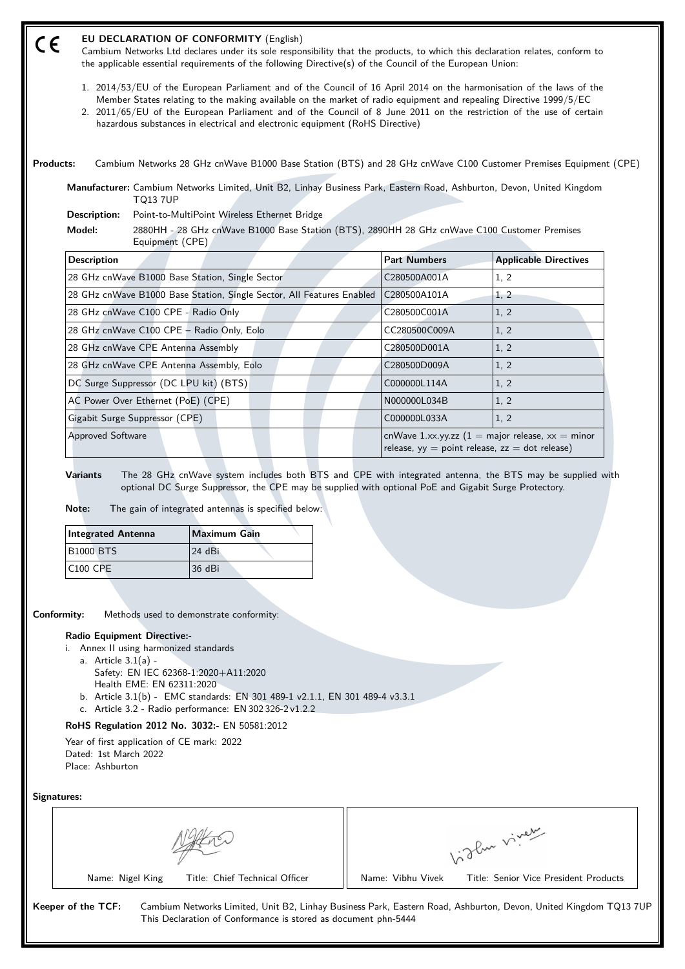| <b>Products:</b> |                                                                                | Cambium Networks 28 GHz cnWave B1000 Base Station (BTS) and 28 GHz cnWave C100 Customer Premises Equipment (CPE)                                                                                                                                                                                |                               |                                                                                                                         |
|------------------|--------------------------------------------------------------------------------|-------------------------------------------------------------------------------------------------------------------------------------------------------------------------------------------------------------------------------------------------------------------------------------------------|-------------------------------|-------------------------------------------------------------------------------------------------------------------------|
|                  |                                                                                | Manufacturer: Cambium Networks Limited, Unit B2, Linhay Business Park, Eastern Road, Ashburton, Devon, United Kingdom                                                                                                                                                                           |                               |                                                                                                                         |
|                  | <b>TQ13 7UP</b><br>Description:                                                | Point-to-MultiPoint Wireless Ethernet Bridge                                                                                                                                                                                                                                                    |                               |                                                                                                                         |
|                  | Model:                                                                         | 2880HH - 28 GHz cnWave B1000 Base Station (BTS), 2890HH 28 GHz cnWave C100 Customer Premises                                                                                                                                                                                                    |                               |                                                                                                                         |
|                  | Equipment (CPE)                                                                |                                                                                                                                                                                                                                                                                                 |                               |                                                                                                                         |
|                  | <b>Description</b>                                                             |                                                                                                                                                                                                                                                                                                 | <b>Part Numbers</b>           | <b>Applicable Directives</b>                                                                                            |
|                  | 28 GHz cnWave B1000 Base Station, Single Sector                                |                                                                                                                                                                                                                                                                                                 | C280500A001A                  | 1, 2                                                                                                                    |
|                  |                                                                                | 28 GHz cnWave B1000 Base Station, Single Sector, All Features Enabled                                                                                                                                                                                                                           | C280500A101A                  | 1, 2                                                                                                                    |
|                  | 28 GHz cnWave C100 CPE - Radio Only                                            |                                                                                                                                                                                                                                                                                                 | C280500C001A                  | 1, 2                                                                                                                    |
|                  | 28 GHz cnWave C100 CPE - Radio Only, Eolo                                      |                                                                                                                                                                                                                                                                                                 | CC280500C009A<br>C280500D001A | 1, 2                                                                                                                    |
|                  | 28 GHz cnWave CPE Antenna Assembly<br>28 GHz cnWave CPE Antenna Assembly, Eolo |                                                                                                                                                                                                                                                                                                 | C280500D009A                  | 1, 2<br>1, 2                                                                                                            |
|                  | DC Surge Suppressor (DC LPU kit) (BTS)                                         |                                                                                                                                                                                                                                                                                                 | C000000L114A                  | 1, 2                                                                                                                    |
|                  | AC Power Over Ethernet (PoE) (CPE)                                             |                                                                                                                                                                                                                                                                                                 | N000000L034B                  | 1, 2                                                                                                                    |
|                  | Gigabit Surge Suppressor (CPE)                                                 |                                                                                                                                                                                                                                                                                                 | C000000L033A                  | 1, 2                                                                                                                    |
|                  |                                                                                |                                                                                                                                                                                                                                                                                                 |                               |                                                                                                                         |
|                  |                                                                                |                                                                                                                                                                                                                                                                                                 |                               |                                                                                                                         |
|                  | Approved Software<br><b>Variants</b><br>Note:<br><b>Integrated Antenna</b>     | The 28 GHz cnWave system includes both BTS and CPE with integrated antenna, the BTS may be supplied with<br>optional DC Surge Suppressor, the CPE may be supplied with optional PoE and Gigabit Surge Protectory.<br>The gain of integrated antennas is specified below:<br><b>Maximum Gain</b> |                               | cnWave 1.xx.yy.zz $(1 = \text{major release}, xx = \text{minor})$<br>release, $yy = point$ release, $zz = dot$ release) |
|                  |                                                                                |                                                                                                                                                                                                                                                                                                 |                               |                                                                                                                         |
|                  | <b>B1000 BTS</b>                                                               | 24 dBi                                                                                                                                                                                                                                                                                          |                               |                                                                                                                         |
|                  | <b>C100 CPE</b>                                                                | 36 dBi                                                                                                                                                                                                                                                                                          |                               |                                                                                                                         |
|                  |                                                                                |                                                                                                                                                                                                                                                                                                 |                               |                                                                                                                         |
|                  | Conformity:                                                                    | Methods used to demonstrate conformity:                                                                                                                                                                                                                                                         |                               |                                                                                                                         |
|                  | <b>Radio Equipment Directive:-</b>                                             |                                                                                                                                                                                                                                                                                                 |                               |                                                                                                                         |
|                  | i. Annex II using harmonized standards                                         |                                                                                                                                                                                                                                                                                                 |                               |                                                                                                                         |
|                  | a. Article $3.1(a)$ -<br>Safety: EN IEC 62368-1:2020+A11:2020                  |                                                                                                                                                                                                                                                                                                 |                               |                                                                                                                         |
|                  | Health EME: EN 62311:2020                                                      |                                                                                                                                                                                                                                                                                                 |                               |                                                                                                                         |
|                  |                                                                                | b. Article 3.1(b) - EMC standards: EN 301 489-1 v2.1.1, EN 301 489-4 v3.3.1<br>c. Article 3.2 - Radio performance: EN 302 326-2 v1.2.2                                                                                                                                                          |                               |                                                                                                                         |
|                  | RoHS Regulation 2012 No. 3032:- EN 50581:2012                                  |                                                                                                                                                                                                                                                                                                 |                               |                                                                                                                         |
|                  | Year of first application of CE mark: 2022                                     |                                                                                                                                                                                                                                                                                                 |                               |                                                                                                                         |
|                  | Dated: 1st March 2022                                                          |                                                                                                                                                                                                                                                                                                 |                               |                                                                                                                         |
|                  | Place: Ashburton                                                               |                                                                                                                                                                                                                                                                                                 |                               |                                                                                                                         |
|                  | Signatures:                                                                    |                                                                                                                                                                                                                                                                                                 |                               |                                                                                                                         |
|                  |                                                                                |                                                                                                                                                                                                                                                                                                 |                               |                                                                                                                         |
|                  |                                                                                |                                                                                                                                                                                                                                                                                                 |                               |                                                                                                                         |
|                  |                                                                                |                                                                                                                                                                                                                                                                                                 |                               |                                                                                                                         |
|                  | Name: Nigel King                                                               | Title: Chief Technical Officer                                                                                                                                                                                                                                                                  | Name: Vibhu Vivek             | Vidley viney<br>Title: Senior Vice President Products                                                                   |

Cambium Networks Ltd declares under its sole responsibility that the products, to which this declaration relates, conform to

the applicable essential requirements of the following Directive(s) of the Council of the European Union:

**EU DECLARATION OF CONFORMITY** (English)

 $C \in$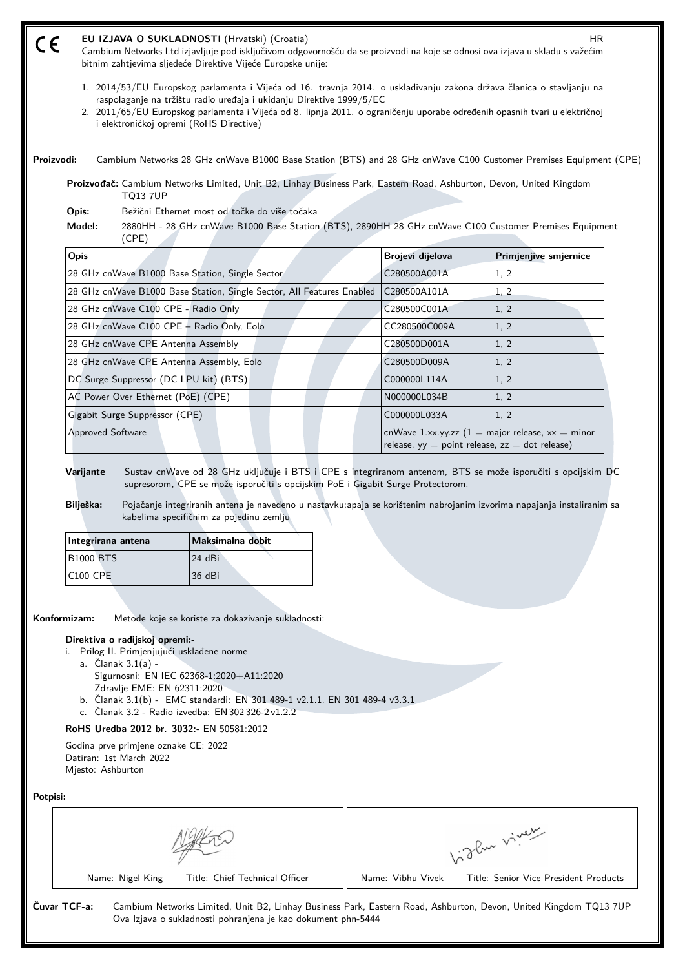|                                                                                               | bitnim zahtjevima sljedeće Direktive Vijeće Europske unije:<br>1. 2014/53/EU Europskog parlamenta i Vijeća od 16. travnja 2014. o usklađivanju zakona država članica o stavljanju na<br>raspolaganje na tržištu radio uređaja i ukidanju Direktive 1999/5/EC                                                                                                                            |                   |                                                                                                                         |
|-----------------------------------------------------------------------------------------------|-----------------------------------------------------------------------------------------------------------------------------------------------------------------------------------------------------------------------------------------------------------------------------------------------------------------------------------------------------------------------------------------|-------------------|-------------------------------------------------------------------------------------------------------------------------|
| i elektroničkoj opremi (RoHS Directive)                                                       | 2. 2011/65/EU Europskog parlamenta i Vijeća od 8. lipnja 2011. o ograničenju uporabe određenih opasnih tvari u električnoj                                                                                                                                                                                                                                                              |                   |                                                                                                                         |
| Proizvodi:                                                                                    | Cambium Networks 28 GHz cnWave B1000 Base Station (BTS) and 28 GHz cnWave C100 Customer Premises Equipment (CPE)                                                                                                                                                                                                                                                                        |                   |                                                                                                                         |
| <b>TQ13 7UP</b>                                                                               | Proizvođač: Cambium Networks Limited, Unit B2, Linhay Business Park, Eastern Road, Ashburton, Devon, United Kingdom                                                                                                                                                                                                                                                                     |                   |                                                                                                                         |
| Opis:<br>Model:<br>(CPE)                                                                      | Bežični Ethernet most od točke do više točaka<br>2880HH - 28 GHz cnWave B1000 Base Station (BTS), 2890HH 28 GHz cnWave C100 Customer Premises Equipment                                                                                                                                                                                                                                 |                   |                                                                                                                         |
| <b>Opis</b>                                                                                   |                                                                                                                                                                                                                                                                                                                                                                                         | Brojevi dijelova  | Primjenjive smjernice                                                                                                   |
| 28 GHz cnWave B1000 Base Station, Single Sector                                               |                                                                                                                                                                                                                                                                                                                                                                                         | C280500A001A      | 1, 2                                                                                                                    |
|                                                                                               | 28 GHz cnWave B1000 Base Station, Single Sector, All Features Enabled                                                                                                                                                                                                                                                                                                                   | C280500A101A      | 1, 2                                                                                                                    |
| 28 GHz cnWave C100 CPE - Radio Only                                                           |                                                                                                                                                                                                                                                                                                                                                                                         | C280500C001A      | 1, 2                                                                                                                    |
| 28 GHz cnWave C100 CPE - Radio Only, Eolo                                                     |                                                                                                                                                                                                                                                                                                                                                                                         | CC280500C009A     | 1, 2                                                                                                                    |
| 28 GHz cnWave CPE Antenna Assembly                                                            |                                                                                                                                                                                                                                                                                                                                                                                         | C280500D001A      | 1, 2                                                                                                                    |
| 28 GHz cnWave CPE Antenna Assembly, Eolo                                                      |                                                                                                                                                                                                                                                                                                                                                                                         | C280500D009A      | 1, 2                                                                                                                    |
| DC Surge Suppressor (DC LPU kit) (BTS)                                                        |                                                                                                                                                                                                                                                                                                                                                                                         | C000000L114A      | 1, 2                                                                                                                    |
| AC Power Over Ethernet (PoE) (CPE)                                                            |                                                                                                                                                                                                                                                                                                                                                                                         | N000000L034B      | 1, 2                                                                                                                    |
| Gigabit Surge Suppressor (CPE)                                                                |                                                                                                                                                                                                                                                                                                                                                                                         | C000000L033A      | 1, 2                                                                                                                    |
| <b>Approved Software</b>                                                                      |                                                                                                                                                                                                                                                                                                                                                                                         |                   | cnWave 1.xx.yy.zz $(1 = \text{major release}, xx = \text{minor})$<br>release, $yy = point$ release, $zz = dot$ release) |
| Varijante<br>Bilješka:<br>Integrirana antena                                                  | Sustav cnWave od 28 GHz uključuje i BTS i CPE s integriranom antenom, BTS se može isporučiti s opcijskim DC<br>supresorom, CPE se može isporučiti s opcijskim PoE i Gigabit Surge Protectorom.<br>Pojačanje integriranih antena je navedeno u nastavku:apaja se korištenim nabrojanim izvorima napajanja instaliranim sa<br>kabelima specifičnim za pojedinu zemlju<br>Maksimalna dobit |                   |                                                                                                                         |
| <b>B1000 BTS</b>                                                                              | 24 dBi                                                                                                                                                                                                                                                                                                                                                                                  |                   |                                                                                                                         |
| <b>C100 CPE</b>                                                                               | 36 dBi                                                                                                                                                                                                                                                                                                                                                                                  |                   |                                                                                                                         |
| Konformizam:<br>Direktiva o radijskoj opremi:-<br>i. Prilog II. Primjenjujući usklađene norme | Metode koje se koriste za dokazivanje sukladnosti:                                                                                                                                                                                                                                                                                                                                      |                   |                                                                                                                         |
| a. Članak 3.1(a) -<br>Zdravlje EME: EN 62311:2020                                             | Sigurnosni: EN IEC 62368-1:2020+A11:2020<br>b. Clanak 3.1(b) - EMC standardi: EN 301 489-1 v2.1.1, EN 301 489-4 v3.3.1<br>c. Članak 3.2 - Radio izvedba: EN 302 326-2 v1.2.2                                                                                                                                                                                                            |                   |                                                                                                                         |
| RoHS Uredba 2012 br. 3032:- EN 50581:2012                                                     |                                                                                                                                                                                                                                                                                                                                                                                         |                   |                                                                                                                         |
| Godina prve primjene oznake CE: 2022<br>Datiran: 1st March 2022<br>Mjesto: Ashburton          |                                                                                                                                                                                                                                                                                                                                                                                         |                   |                                                                                                                         |
| Potpisi:                                                                                      |                                                                                                                                                                                                                                                                                                                                                                                         |                   |                                                                                                                         |
|                                                                                               |                                                                                                                                                                                                                                                                                                                                                                                         |                   | light vivey                                                                                                             |
| Name: Nigel King                                                                              | Title: Chief Technical Officer                                                                                                                                                                                                                                                                                                                                                          | Name: Vibhu Vivek | Title: Senior Vice President Products                                                                                   |
| Čuvar TCF-a:                                                                                  | Cambium Networks Limited, Unit B2, Linhay Business Park, Eastern Road, Ashburton, Devon, United Kingdom TQ13 7UP<br>Ova Izjava o sukladnosti pohranjena je kao dokument phn-5444                                                                                                                                                                                                        |                   |                                                                                                                         |

**EU IZJAVA O SUKLADNOSTI** (Hrvatski) (Croatia) HR Cambium Networks Ltd izjavljuje pod isključivom odgovornošću da se proizvodi na koje se odnosi ova izjava u skladu s važećim

 $C \in$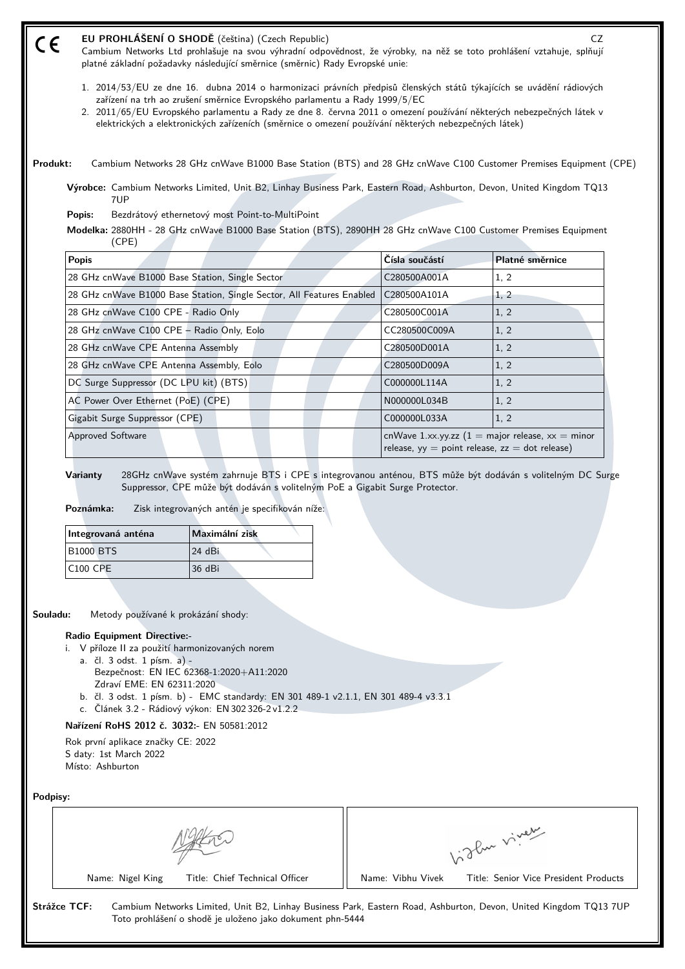- **EU PROHLÁŠENÍ O SHODĚ** (čeština) (Czech Republic) CZ (E Cambium Networks Ltd prohlašuje na svou výhradní odpovědnost, že výrobky, na něž se toto prohlášení vztahuje, splňují platné základní požadavky následující směrnice (směrnic) Rady Evropské unie:
	- 1. 2014/53/EU ze dne 16. dubna 2014 o harmonizaci právních předpisů členských států týkajících se uvádění rádiových zařízení na trh ao zrušení směrnice Evropského parlamentu a Rady 1999/5/EC
	- 2. 2011/65/EU Evropského parlamentu a Rady ze dne 8. června 2011 o omezení používání některých nebezpečných látek v elektrických a elektronických zařízeních (směrnice o omezení používání některých nebezpečných látek)

**Produkt:** Cambium Networks 28 GHz cnWave B1000 Base Station (BTS) and 28 GHz cnWave C100 Customer Premises Equipment (CPE)

**Výrobce:** Cambium Networks Limited, Unit B2, Linhay Business Park, Eastern Road, Ashburton, Devon, United Kingdom TQ13 7UP

**Popis:** Bezdrátový ethernetový most Point-to-MultiPoint

**Modelka:** 2880HH - 28 GHz cnWave B1000 Base Station (BTS), 2890HH 28 GHz cnWave C100 Customer Premises Equipment (CPE)

| <b>Popis</b>                                                          | Čísla součástí                                                                                                          | Platné směrnice |
|-----------------------------------------------------------------------|-------------------------------------------------------------------------------------------------------------------------|-----------------|
| 28 GHz cnWave B1000 Base Station, Single Sector                       | C280500A001A                                                                                                            | 1, 2            |
| 28 GHz cnWave B1000 Base Station, Single Sector, All Features Enabled | C280500A101A                                                                                                            | 1, 2            |
| 28 GHz cnWave C100 CPE - Radio Only                                   | C280500C001A                                                                                                            | 1, 2            |
| 28 GHz cnWave C100 CPE - Radio Only, Eolo                             | CC280500C009A                                                                                                           | 1, 2            |
| 28 GHz cnWave CPE Antenna Assembly                                    | C280500D001A                                                                                                            | 1, 2            |
| 28 GHz cnWave CPE Antenna Assembly, Eolo                              | C280500D009A                                                                                                            | 1, 2            |
| DC Surge Suppressor (DC LPU kit) (BTS)                                | C000000L114A                                                                                                            | 1.2             |
| AC Power Over Ethernet (PoE) (CPE)                                    | N000000L034B                                                                                                            | 1, 2            |
| Gigabit Surge Suppressor (CPE)                                        | C000000L033A                                                                                                            | 1, 2            |
| <b>Approved Software</b>                                              | cnWave 1.xx.yy.zz $(1 = \text{major release}, xx = \text{minor})$<br>release, $yy = point$ release, $zz = dot$ release) |                 |

**Varianty** 28GHz cnWave systém zahrnuje BTS i CPE s integrovanou anténou, BTS může být dodáván s volitelným DC Surge Suppressor, CPE může být dodáván s volitelným PoE a Gigabit Surge Protector.

**Poznámka:** Zisk integrovaných antén je specifikován níže:

| Integrovaná anténa | Maximální zisk |  |
|--------------------|----------------|--|
| <b>B1000 BTS</b>   | 24 dBi         |  |
| $ C100$ CPE        | 36 dBi         |  |

**Souladu:** Metody používané k prokázání shody:

### **Radio Equipment Directive:-**

- i. V příloze II za použití harmonizovaných norem
	- a. čl. 3 odst. 1 písm. a)
		- Bezpečnost: EN IEC 62368‑1:2020+A11:2020 Zdraví EME: EN 62311:2020
	- b. čl. 3 odst. 1 písm. b) EMC standardy: EN 301 489-1 v2.1.1, EN 301 489-4 v3.3.1
	- c. Článek 3.2 Rádiový výkon: EN 302 326-2 v1.2.2

### **Nařízení RoHS 2012 č. 3032:-** EN 50581:2012

Rok první aplikace značky CE: 2022 S daty: 1st March 2022 Místo: Ashburton

**Podpisy:**

|                                | ∾ صي د<br>$ P_{\rm w}$ $V$            |
|--------------------------------|---------------------------------------|
| Name: Nigel King               | Title: Senior Vice President Products |
| Title: Chief Technical Officer | Name: Vibhu Vivek                     |

Toto prohlášení o shodě je uloženo jako dokument phn-5444

**Strážce TCF:** Cambium Networks Limited, Unit B2, Linhay Business Park, Eastern Road, Ashburton, Devon, United Kingdom TQ13 7UP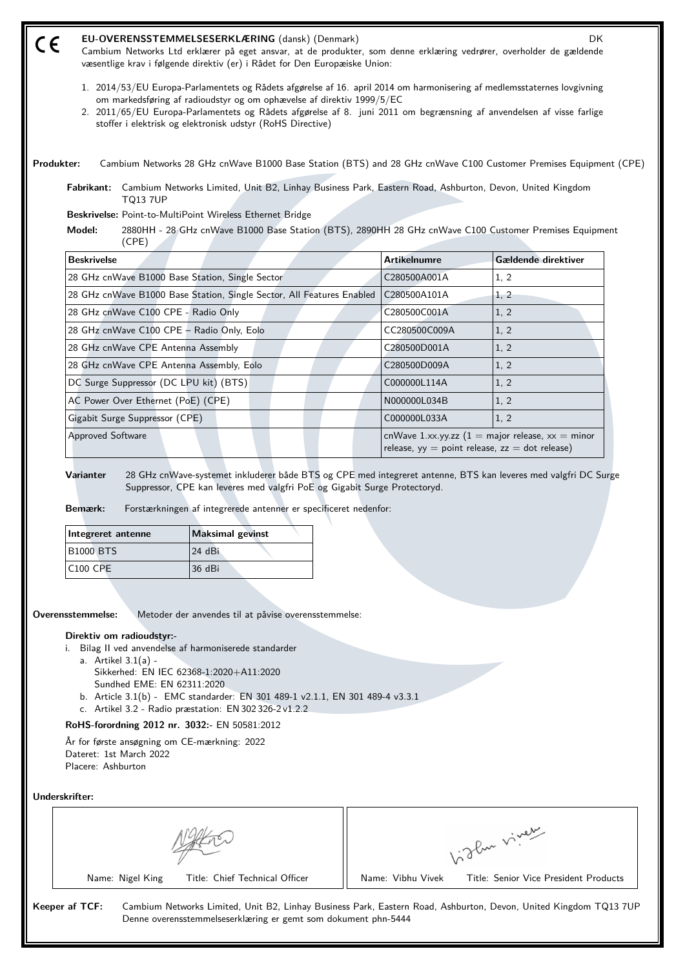| CE         |                                                                                                                                                                                   | EU-OVERENSSTEMMELSESERKLÆRING (dansk) (Denmark)<br>Cambium Networks Ltd erklærer på eget ansvar, at de produkter, som denne erklæring vedrører, overholder de gældende<br>væsentlige krav i følgende direktiv (er) i Rådet for Den Europæiske Union:                                                                                                                                   |                                                    | DK.                                                               |  |
|------------|-----------------------------------------------------------------------------------------------------------------------------------------------------------------------------------|----------------------------------------------------------------------------------------------------------------------------------------------------------------------------------------------------------------------------------------------------------------------------------------------------------------------------------------------------------------------------------------|----------------------------------------------------|-------------------------------------------------------------------|--|
|            |                                                                                                                                                                                   | 1. 2014/53/EU Europa-Parlamentets og Rådets afgørelse af 16. april 2014 om harmonisering af medlemsstaternes lovgivning<br>om markedsføring af radioudstyr og om ophævelse af direktiv 1999/5/EC<br>2. 2011/65/EU Europa-Parlamentets og Rådets afgørelse af 8. juni 2011 om begrænsning af anvendelsen af visse farlige<br>stoffer i elektrisk og elektronisk udstyr (RoHS Directive) |                                                    |                                                                   |  |
| Produkter: |                                                                                                                                                                                   | Cambium Networks 28 GHz cnWave B1000 Base Station (BTS) and 28 GHz cnWave C100 Customer Premises Equipment (CPE)                                                                                                                                                                                                                                                                       |                                                    |                                                                   |  |
|            | Fabrikant:<br><b>TQ13 7UP</b>                                                                                                                                                     | Cambium Networks Limited, Unit B2, Linhay Business Park, Eastern Road, Ashburton, Devon, United Kingdom                                                                                                                                                                                                                                                                                |                                                    |                                                                   |  |
|            | Model:<br>(CPE)                                                                                                                                                                   | Beskrivelse: Point-to-MultiPoint Wireless Ethernet Bridge<br>2880HH - 28 GHz cnWave B1000 Base Station (BTS), 2890HH 28 GHz cnWave C100 Customer Premises Equipment                                                                                                                                                                                                                    |                                                    |                                                                   |  |
|            | <b>Beskrivelse</b>                                                                                                                                                                |                                                                                                                                                                                                                                                                                                                                                                                        | <b>Artikelnumre</b>                                | Gældende direktiver                                               |  |
|            |                                                                                                                                                                                   | 28 GHz cnWave B1000 Base Station, Single Sector                                                                                                                                                                                                                                                                                                                                        | C280500A001A                                       | 1, 2                                                              |  |
|            |                                                                                                                                                                                   | 28 GHz cnWave B1000 Base Station, Single Sector, All Features Enabled                                                                                                                                                                                                                                                                                                                  | C280500A101A                                       | 1, 2                                                              |  |
|            | 28 GHz cnWave C100 CPE - Radio Only                                                                                                                                               |                                                                                                                                                                                                                                                                                                                                                                                        | C280500C001A                                       | 1, 2                                                              |  |
|            | 28 GHz cnWave C100 CPE - Radio Only, Eolo                                                                                                                                         |                                                                                                                                                                                                                                                                                                                                                                                        | CC280500C009A                                      | 1, 2                                                              |  |
|            | 28 GHz cnWave CPE Antenna Assembly                                                                                                                                                |                                                                                                                                                                                                                                                                                                                                                                                        | C280500D001A                                       | 1, 2                                                              |  |
|            | 28 GHz cnWave CPE Antenna Assembly, Eolo                                                                                                                                          |                                                                                                                                                                                                                                                                                                                                                                                        | C280500D009A                                       | 1, 2                                                              |  |
|            | DC Surge Suppressor (DC LPU kit) (BTS)                                                                                                                                            |                                                                                                                                                                                                                                                                                                                                                                                        | C000000L114A                                       | 1, 2                                                              |  |
|            | AC Power Over Ethernet (PoE) (CPE)                                                                                                                                                |                                                                                                                                                                                                                                                                                                                                                                                        | N000000L034B                                       | 1, 2                                                              |  |
|            | Gigabit Surge Suppressor (CPE)                                                                                                                                                    |                                                                                                                                                                                                                                                                                                                                                                                        | C000000L033A                                       | 1, 2                                                              |  |
|            | <b>Approved Software</b>                                                                                                                                                          |                                                                                                                                                                                                                                                                                                                                                                                        | release, $yy = point$ release, $zz = dot$ release) | cnWave 1.xx.yy.zz $(1 = \text{major release}, xx = \text{minor})$ |  |
|            | Varianter<br>Bemærk:                                                                                                                                                              | 28 GHz cnWave-systemet inkluderer både BTS og CPE med integreret antenne, BTS kan leveres med valgfri DC Surge<br>Suppressor, CPE kan leveres med valgfri PoE og Gigabit Surge Protectoryd.<br>Forstærkningen af integrerede antenner er specificeret nedenfor:                                                                                                                        |                                                    |                                                                   |  |
|            | Integreret antenne                                                                                                                                                                | <b>Maksimal gevinst</b>                                                                                                                                                                                                                                                                                                                                                                |                                                    |                                                                   |  |
|            | <b>B1000 BTS</b>                                                                                                                                                                  | 24 dBi                                                                                                                                                                                                                                                                                                                                                                                 |                                                    |                                                                   |  |
|            | C100 CPE                                                                                                                                                                          | 36 dBi                                                                                                                                                                                                                                                                                                                                                                                 |                                                    |                                                                   |  |
|            | Overensstemmelse:                                                                                                                                                                 | Metoder der anvendes til at påvise overensstemmelse:                                                                                                                                                                                                                                                                                                                                   |                                                    |                                                                   |  |
|            | Direktiv om radioudstyr:-<br>a. Artikel $3.1(a)$ -<br>Sundhed EME: EN 62311:2020<br>År for første ansøgning om CE-mærkning: 2022<br>Dateret: 1st March 2022<br>Placere: Ashburton | i. Bilag II ved anvendelse af harmoniserede standarder<br>Sikkerhed: EN IEC 62368-1:2020+A11:2020<br>b. Article 3.1(b) - EMC standarder: EN 301 489-1 v2.1.1, EN 301 489-4 v3.3.1<br>c. Artikel 3.2 - Radio præstation: EN 302 326-2 v1.2.2<br>RoHS-forordning 2012 nr. 3032:- EN 50581:2012                                                                                           |                                                    |                                                                   |  |

| Underskrifter: |  |
|----------------|--|
|----------------|--|

|                                | $\sim$ $\sim$<br>$P_{\rm av}$ V       |
|--------------------------------|---------------------------------------|
| Name: Nigel King               | Title: Senior Vice President Products |
| Title: Chief Technical Officer | Name: Vibhu Vivek                     |

**Keeper af TCF:** Cambium Networks Limited, Unit B2, Linhay Business Park, Eastern Road, Ashburton, Devon, United Kingdom TQ13 7UP Denne overensstemmelseserklæring er gemt som dokument phn-5444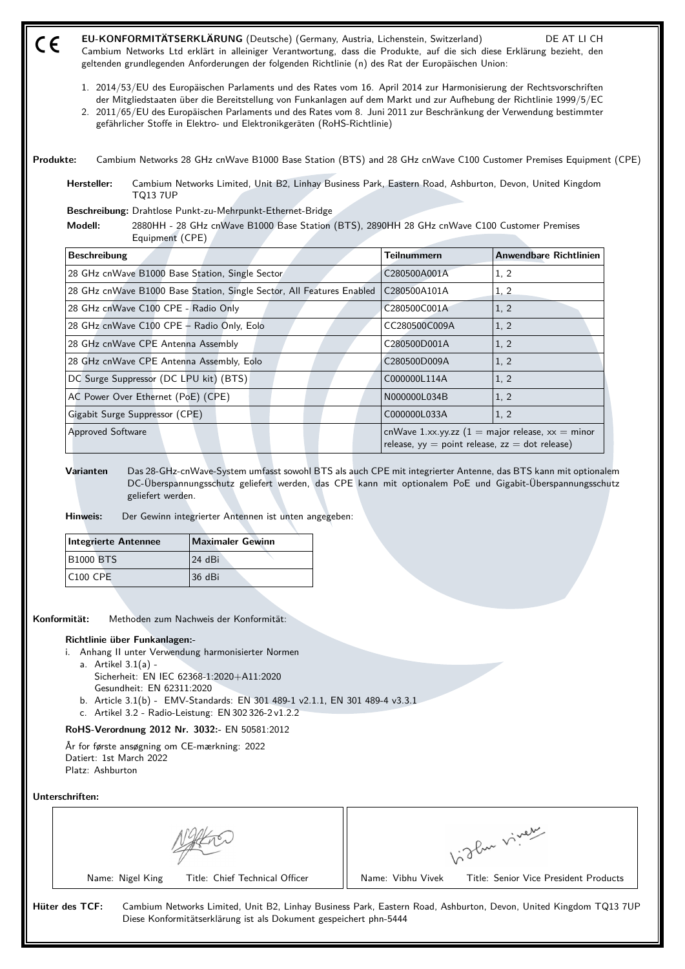| r C | EU-KONFORMITÄTSERKLÄRUNG (Deutsche) (Germany, Austria, Lichenstein, Switzerland)                                       | DE AT LI CH |
|-----|------------------------------------------------------------------------------------------------------------------------|-------------|
| ー   | Cambium Networks Ltd erklärt in alleiniger Verantwortung, dass die Produkte, auf die sich diese Erklärung bezieht, den |             |
|     | geltenden grundlegenden Anforderungen der folgenden Richtlinie (n) des Rat der Europäischen Union:                     |             |

- 1. 2014/53/EU des Europäischen Parlaments und des Rates vom 16. April 2014 zur Harmonisierung der Rechtsvorschriften der Mitgliedstaaten über die Bereitstellung von Funkanlagen auf dem Markt und zur Aufhebung der Richtlinie 1999/5/EC
- 2. 2011/65/EU des Europäischen Parlaments und des Rates vom 8. Juni 2011 zur Beschränkung der Verwendung bestimmter gefährlicher Stoffe in Elektro- und Elektronikgeräten (RoHS-Richtlinie)

**Produkte:** Cambium Networks 28 GHz cnWave B1000 Base Station (BTS) and 28 GHz cnWave C100 Customer Premises Equipment (CPE)

**Hersteller:** Cambium Networks Limited, Unit B2, Linhay Business Park, Eastern Road, Ashburton, Devon, United Kingdom TQ13 7UP

**Beschreibung:** Drahtlose Punkt-zu-Mehrpunkt-Ethernet-Bridge

**Modell:** 2880HH - 28 GHz cnWave B1000 Base Station (BTS), 2890HH 28 GHz cnWave C100 Customer Premises Equipment (CPE)

| <b>Beschreibung</b>                                                   | <b>Teilnummern</b>                                                                                         | Anwendbare Richtlinien |
|-----------------------------------------------------------------------|------------------------------------------------------------------------------------------------------------|------------------------|
| 28 GHz cnWave B1000 Base Station, Single Sector                       | C280500A001A                                                                                               | 1.2                    |
| 28 GHz cnWave B1000 Base Station, Single Sector, All Features Enabled | C280500A101A                                                                                               | 1, 2                   |
| 28 GHz cnWave C100 CPE - Radio Only                                   | C280500C001A                                                                                               | 1, 2                   |
| 28 GHz cnWave C100 CPE - Radio Only, Eolo                             | CC280500C009A                                                                                              | 1, 2                   |
| 28 GHz cnWave CPE Antenna Assembly                                    | C280500D001A                                                                                               | 1, 2                   |
| 28 GHz cnWave CPE Antenna Assembly, Eolo                              | C280500D009A                                                                                               | 1, 2                   |
| DC Surge Suppressor (DC LPU kit) (BTS)                                | C000000L114A                                                                                               | 1, 2                   |
| AC Power Over Ethernet (PoE) (CPE)                                    | N000000L034B                                                                                               | 1, 2                   |
| Gigabit Surge Suppressor (CPE)                                        | C000000L033A                                                                                               | 1, 2                   |
| <b>Approved Software</b>                                              | $ $ cnWave 1.xx.yy.zz (1 = major release, xx = minor<br>release, $yy = point$ release, $zz = dot$ release) |                        |

**Varianten** Das 28-GHz-cnWave-System umfasst sowohl BTS als auch CPE mit integrierter Antenne, das BTS kann mit optionalem DC-Überspannungsschutz geliefert werden, das CPE kann mit optionalem PoE und Gigabit-Überspannungsschutz geliefert werden.

**Hinweis:** Der Gewinn integrierter Antennen ist unten angegeben:

| Integrierte Antennee | <b>Maximaler Gewinn</b> |  |
|----------------------|-------------------------|--|
| <b>B1000 BTS</b>     | 124 dBi                 |  |
| $ C100$ CPE          | 36 dBi                  |  |

**Konformität:** Methoden zum Nachweis der Konformität:

### **Richtlinie über Funkanlagen:-**

- i. Anhang II unter Verwendung harmonisierter Normen
	- a. Artikel 3.1(a) Sicherheit: EN IEC 62368‑1:2020+A11:2020
	- Gesundheit: EN 62311:2020
	- b. Article 3.1(b) EMV-Standards: EN 301 489-1 v2.1.1, EN 301 489-4 v3.3.1
	- c. Artikel 3.2 Radio-Leistung: EN 302 326-2 v1.2.2

# **RoHS-Verordnung 2012 Nr. 3032:-** EN 50581:2012

År for første ansøgning om CE-mærkning: 2022 Datiert: 1st March 2022 Platz: Ashburton

### **Unterschriften:**

|                                | ∽رفین ،<br>$\mathcal{L}_{\mathbf{v}}$ |
|--------------------------------|---------------------------------------|
| Name: Nigel King               | Title: Senior Vice President Products |
| Title: Chief Technical Officer | Name: Vibhu Vivek                     |

**Hüter des TCF:** Cambium Networks Limited, Unit B2, Linhay Business Park, Eastern Road, Ashburton, Devon, United Kingdom TQ13 7UP Diese Konformitätserklärung ist als Dokument gespeichert phn-5444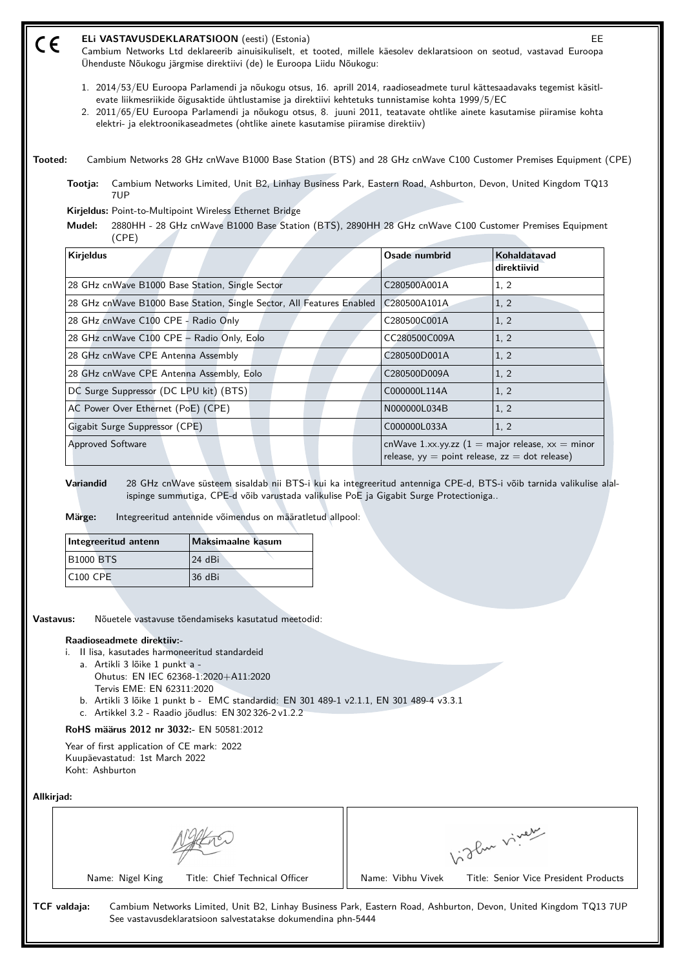#### **ELi VASTAVUSDEKLARATSIOON** (eesti) (Estonia) EE (E

Cambium Networks Ltd deklareerib ainuisikuliselt, et tooted, millele käesolev deklaratsioon on seotud, vastavad Euroopa Ühenduste Nõukogu järgmise direktiivi (de) le Euroopa Liidu Nõukogu:

- 1. 2014/53/EU Euroopa Parlamendi ja nõukogu otsus, 16. aprill 2014, raadioseadmete turul kättesaadavaks tegemist käsitlevate liikmesriikide õigusaktide ühtlustamise ja direktiivi kehtetuks tunnistamise kohta 1999/5/EC
- 2. 2011/65/EU Euroopa Parlamendi ja nõukogu otsus, 8. juuni 2011, teatavate ohtlike ainete kasutamise piiramise kohta elektri- ja elektroonikaseadmetes (ohtlike ainete kasutamise piiramise direktiiv)

**Tooted:** Cambium Networks 28 GHz cnWave B1000 Base Station (BTS) and 28 GHz cnWave C100 Customer Premises Equipment (CPE)

**Tootja:** Cambium Networks Limited, Unit B2, Linhay Business Park, Eastern Road, Ashburton, Devon, United Kingdom TQ13 7UP

**Kirjeldus:** Point-to-Multipoint Wireless Ethernet Bridge

**Mudel:** 2880HH - 28 GHz cnWave B1000 Base Station (BTS), 2890HH 28 GHz cnWave C100 Customer Premises Equipment (CPE)

| <b>Kirjeldus</b>                                                      | Osade numbrid                                                                                                           | Kohaldatavad<br>direktiivid |
|-----------------------------------------------------------------------|-------------------------------------------------------------------------------------------------------------------------|-----------------------------|
| 28 GHz cnWave B1000 Base Station, Single Sector                       | C280500A001A                                                                                                            | 1, 2                        |
| 28 GHz cnWave B1000 Base Station, Single Sector, All Features Enabled | C280500A101A                                                                                                            | 1, 2                        |
| 28 GHz cnWave C100 CPE - Radio Only                                   | C280500C001A                                                                                                            | 1, 2                        |
| 28 GHz cnWave C100 CPE - Radio Only, Eolo                             | CC280500C009A                                                                                                           | 1, 2                        |
| 28 GHz cnWave CPE Antenna Assembly                                    | C280500D001A                                                                                                            | 1, 2                        |
| 28 GHz cnWave CPE Antenna Assembly, Eolo                              | C280500D009A                                                                                                            | 1, 2                        |
| DC Surge Suppressor (DC LPU kit) (BTS)                                | C000000L114A                                                                                                            | 1, 2                        |
| AC Power Over Ethernet (PoE) (CPE)                                    | N000000L034B                                                                                                            | 1, 2                        |
| Gigabit Surge Suppressor (CPE)                                        | C000000L033A                                                                                                            | 1, 2                        |
| Approved Software                                                     | cnWave 1.xx.yy.zz $(1 = \text{major release}, xx = \text{minor})$<br>release, $yy = point$ release, $zz = dot$ release) |                             |

**Variandid** 28 GHz cnWave süsteem sisaldab nii BTS-i kui ka integreeritud antenniga CPE-d, BTS-i võib tarnida valikulise alalispinge summutiga, CPE-d võib varustada valikulise PoE ja Gigabit Surge Protectioniga..

**Märge:** Integreeritud antennide võimendus on määratletud allpool:

| Integreeritud antenn | Maksimaalne kasum |
|----------------------|-------------------|
| <b>B1000 BTS</b>     | 124 dBi           |
| <b>C100 CPE</b>      | 136 dBi           |

**Vastavus:** Nõuetele vastavuse tõendamiseks kasutatud meetodid:

### **Raadioseadmete direktiiv:-**

- i. II lisa, kasutades harmoneeritud standardeid
	- a. Artikli 3 lõike 1 punkt a Ohutus: EN IEC 62368‑1:2020+A11:2020
	- Tervis EME: EN 62311:2020
	- b. Artikli 3 lõike 1 punkt b EMC standardid: EN 301 489-1 v2.1.1, EN 301 489-4 v3.3.1
	- c. Artikkel 3.2 Raadio jõudlus: EN 302 326-2 v1.2.2

**RoHS määrus 2012 nr 3032:-** EN 50581:2012

Year of first application of CE mark: 2022 Kuupäevastatud: 1st March 2022 Koht: Ashburton

### **Allkirjad:**

| Name: Nigel King               | Title: Senior Vice President Products |
|--------------------------------|---------------------------------------|
| Title: Chief Technical Officer | Name: Vibhu Vivek                     |

**TCF valdaja:** Cambium Networks Limited, Unit B2, Linhay Business Park, Eastern Road, Ashburton, Devon, United Kingdom TQ13 7UP See vastavusdeklaratsioon salvestatakse dokumendina phn-5444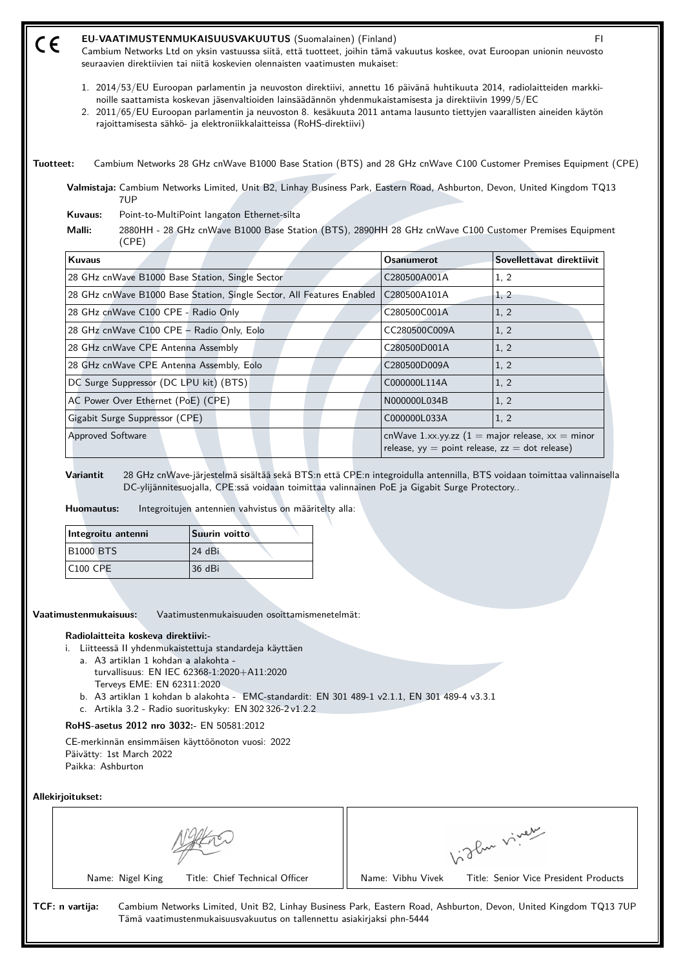| 1. 2014/53/EU Euroopan parlamentin ja neuvoston direktiivi, annettu 16 päivänä huhtikuuta 2014, radiolaitteiden markki-<br>noille saattamista koskevan jäsenvaltioiden lainsäädännön yhdenmukaistamisesta ja direktiivin 1999/5/EC<br>2. 2011/65/EU Euroopan parlamentin ja neuvoston 8. kesäkuuta 2011 antama lausunto tiettyjen vaarallisten aineiden käytön<br>Cambium Networks 28 GHz cnWave B1000 Base Station (BTS) and 28 GHz cnWave C100 Customer Premises Equipment (CPE)<br>Valmistaja: Cambium Networks Limited, Unit B2, Linhay Business Park, Eastern Road, Ashburton, Devon, United Kingdom TQ13<br>2880HH - 28 GHz cnWave B1000 Base Station (BTS), 2890HH 28 GHz cnWave C100 Customer Premises Equipment |
|--------------------------------------------------------------------------------------------------------------------------------------------------------------------------------------------------------------------------------------------------------------------------------------------------------------------------------------------------------------------------------------------------------------------------------------------------------------------------------------------------------------------------------------------------------------------------------------------------------------------------------------------------------------------------------------------------------------------------|
|                                                                                                                                                                                                                                                                                                                                                                                                                                                                                                                                                                                                                                                                                                                          |
|                                                                                                                                                                                                                                                                                                                                                                                                                                                                                                                                                                                                                                                                                                                          |
|                                                                                                                                                                                                                                                                                                                                                                                                                                                                                                                                                                                                                                                                                                                          |
|                                                                                                                                                                                                                                                                                                                                                                                                                                                                                                                                                                                                                                                                                                                          |
|                                                                                                                                                                                                                                                                                                                                                                                                                                                                                                                                                                                                                                                                                                                          |
| Sovellettavat direktiivit<br><b>Osanumerot</b>                                                                                                                                                                                                                                                                                                                                                                                                                                                                                                                                                                                                                                                                           |
| 1, 2<br>C280500A001A                                                                                                                                                                                                                                                                                                                                                                                                                                                                                                                                                                                                                                                                                                     |
| C280500A101A<br>1, 2                                                                                                                                                                                                                                                                                                                                                                                                                                                                                                                                                                                                                                                                                                     |
| C280500C001A<br>1, 2                                                                                                                                                                                                                                                                                                                                                                                                                                                                                                                                                                                                                                                                                                     |
| CC280500C009A<br>1, 2                                                                                                                                                                                                                                                                                                                                                                                                                                                                                                                                                                                                                                                                                                    |
| C280500D001A<br>1, 2                                                                                                                                                                                                                                                                                                                                                                                                                                                                                                                                                                                                                                                                                                     |
| 1, 2<br>C280500D009A                                                                                                                                                                                                                                                                                                                                                                                                                                                                                                                                                                                                                                                                                                     |
| C000000L114A<br>1, 2                                                                                                                                                                                                                                                                                                                                                                                                                                                                                                                                                                                                                                                                                                     |
| 1, 2<br>N000000L034B                                                                                                                                                                                                                                                                                                                                                                                                                                                                                                                                                                                                                                                                                                     |
| 1, 2<br>C000000L033A                                                                                                                                                                                                                                                                                                                                                                                                                                                                                                                                                                                                                                                                                                     |
| cnWave 1.xx.yy.zz $(1 = \text{major release}, xx = \text{minor})$<br>release, $yy = point$ release, $zz = dot$ release)                                                                                                                                                                                                                                                                                                                                                                                                                                                                                                                                                                                                  |
| 28 GHz cnWave-järjestelmä sisältää sekä BTS:n että CPE:n integroidulla antennilla, BTS voidaan toimittaa valinnaisella<br>DC-ylijännitesuojalla, CPE:ssä voidaan toimittaa valinnainen PoE ja Gigabit Surge Protectory                                                                                                                                                                                                                                                                                                                                                                                                                                                                                                   |

| Integroitu antenni | Suurin voitto |
|--------------------|---------------|
| <b>B1000 BTS</b>   | 24 dBi        |
| $ C100$ CPE        | 136 dBi       |

**Vaatimustenmukaisuus:** Vaatimustenmukaisuuden osoittamismenetelmät:

## **Radiolaitteita koskeva direktiivi:-**

i. Liitteessä II yhdenmukaistettuja standardeja käyttäen

- a. A3 artiklan 1 kohdan a alakohta
	- turvallisuus: EN IEC 62368‑1:2020+A11:2020 Terveys EME: EN 62311:2020
- b. A3 artiklan 1 kohdan b alakohta EMC-standardit: EN 301 489-1 v2.1.1, EN 301 489-4 v3.3.1
- c. Artikla 3.2 Radio suorituskyky: EN 302 326-2 v1.2.2

# **RoHS-asetus 2012 nro 3032:-** EN 50581:2012

CE-merkinnän ensimmäisen käyttöönoton vuosi: 2022 Päivätty: 1st March 2022 Paikka: Ashburton

# **Allekirjoitukset:**

|                 |                  |                                                                        |                   | The viver                                                                                                        |
|-----------------|------------------|------------------------------------------------------------------------|-------------------|------------------------------------------------------------------------------------------------------------------|
|                 | Name: Nigel King | Title: Chief Technical Officer                                         | Name: Vibhu Vivek | Title: Senior Vice President Products                                                                            |
| TCF: n vartija: |                  | Tämä vaatimustenmukaisuusvakuutus on tallennettu asiakirjaksi phn-5444 |                   | Cambium Networks Limited, Unit B2, Linhay Business Park, Eastern Road, Ashburton, Devon, United Kingdom TQ13 7UP |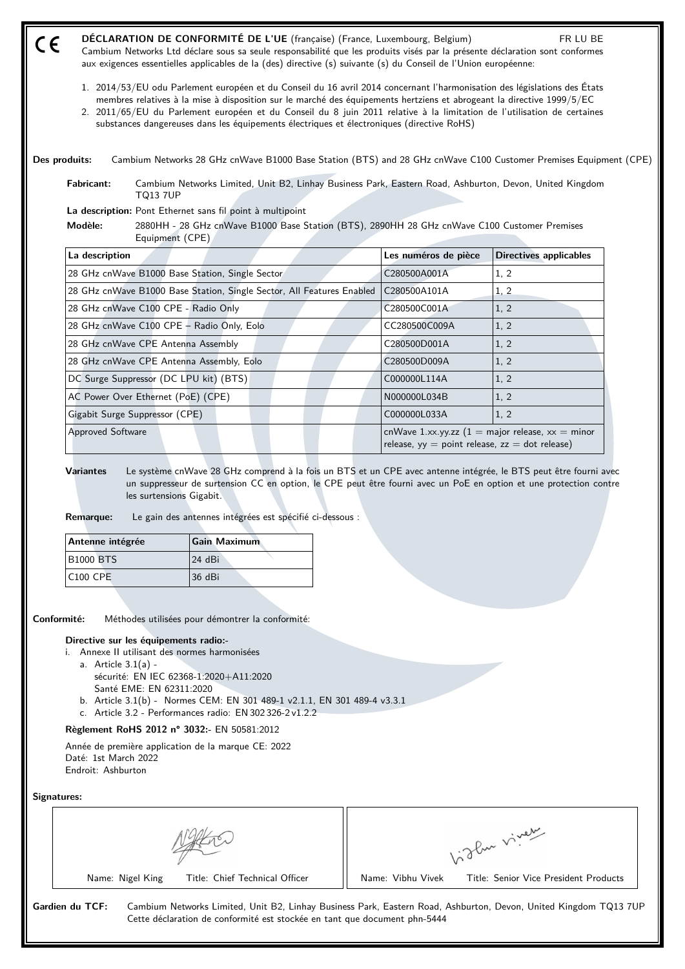| $\epsilon$                                                                                                      | DÉCLARATION DE CONFORMITÉ DE L'UE (française) (France, Luxembourg, Belgium)<br>Cambium Networks Ltd déclare sous sa seule responsabilité que les produits visés par la présente déclaration sont conformes<br>aux exigences essentielles applicables de la (des) directive (s) suivante (s) du Conseil de l'Union européenne:                                                                                                                                              |                                                    | FR LU BE                                                          |
|-----------------------------------------------------------------------------------------------------------------|----------------------------------------------------------------------------------------------------------------------------------------------------------------------------------------------------------------------------------------------------------------------------------------------------------------------------------------------------------------------------------------------------------------------------------------------------------------------------|----------------------------------------------------|-------------------------------------------------------------------|
|                                                                                                                 | 1. 2014/53/EU odu Parlement européen et du Conseil du 16 avril 2014 concernant l'harmonisation des législations des États<br>membres relatives à la mise à disposition sur le marché des équipements hertziens et abrogeant la directive 1999/5/EC<br>2. 2011/65/EU du Parlement européen et du Conseil du 8 juin 2011 relative à la limitation de l'utilisation de certaines<br>substances dangereuses dans les équipements électriques et électroniques (directive RoHS) |                                                    |                                                                   |
| Des produits:                                                                                                   | Cambium Networks 28 GHz cnWave B1000 Base Station (BTS) and 28 GHz cnWave C100 Customer Premises Equipment (CPE)                                                                                                                                                                                                                                                                                                                                                           |                                                    |                                                                   |
| Fabricant:<br><b>TQ13 7UP</b>                                                                                   | Cambium Networks Limited, Unit B2, Linhay Business Park, Eastern Road, Ashburton, Devon, United Kingdom                                                                                                                                                                                                                                                                                                                                                                    |                                                    |                                                                   |
|                                                                                                                 | La description: Pont Ethernet sans fil point à multipoint                                                                                                                                                                                                                                                                                                                                                                                                                  |                                                    |                                                                   |
| Modèle:                                                                                                         | 2880HH - 28 GHz cnWave B1000 Base Station (BTS), 2890HH 28 GHz cnWave C100 Customer Premises<br>Equipment (CPE)                                                                                                                                                                                                                                                                                                                                                            |                                                    |                                                                   |
| La description                                                                                                  |                                                                                                                                                                                                                                                                                                                                                                                                                                                                            | Les numéros de pièce                               | <b>Directives applicables</b>                                     |
|                                                                                                                 | 28 GHz cnWave B1000 Base Station, Single Sector                                                                                                                                                                                                                                                                                                                                                                                                                            | C280500A001A                                       | 1, 2                                                              |
|                                                                                                                 | 28 GHz cnWave B1000 Base Station, Single Sector, All Features Enabled                                                                                                                                                                                                                                                                                                                                                                                                      | C280500A101A                                       | 1, 2                                                              |
| 28 GHz cnWave C100 CPE - Radio Only                                                                             |                                                                                                                                                                                                                                                                                                                                                                                                                                                                            | C280500C001A                                       | 1, 2                                                              |
|                                                                                                                 | 28 GHz cnWave C100 CPE - Radio Only, Eolo                                                                                                                                                                                                                                                                                                                                                                                                                                  | CC280500C009A                                      | 1, 2                                                              |
| 28 GHz cnWave CPE Antenna Assembly                                                                              |                                                                                                                                                                                                                                                                                                                                                                                                                                                                            | C280500D001A                                       | 1, 2                                                              |
|                                                                                                                 | 28 GHz cnWave CPE Antenna Assembly, Eolo                                                                                                                                                                                                                                                                                                                                                                                                                                   | C280500D009A                                       | 1, 2                                                              |
| DC Surge Suppressor (DC LPU kit) (BTS)                                                                          |                                                                                                                                                                                                                                                                                                                                                                                                                                                                            | C000000L114A                                       | 1, 2                                                              |
| AC Power Over Ethernet (PoE) (CPE)                                                                              |                                                                                                                                                                                                                                                                                                                                                                                                                                                                            | N000000L034B                                       | 1, 2                                                              |
| Gigabit Surge Suppressor (CPE)                                                                                  |                                                                                                                                                                                                                                                                                                                                                                                                                                                                            | C000000L033A                                       | 1, 2                                                              |
| <b>Approved Software</b>                                                                                        |                                                                                                                                                                                                                                                                                                                                                                                                                                                                            | release, $yy = point$ release, $zz = dot$ release) | cnWave 1.xx.yy.zz $(1 = \text{major release}, xx = \text{minor})$ |
| <b>Variantes</b><br><b>Remarque:</b>                                                                            | Le système cnWave 28 GHz comprend à la fois un BTS et un CPE avec antenne intégrée, le BTS peut être fourni avec<br>un suppresseur de surtension CC en option, le CPE peut être fourni avec un PoE en option et une protection contre<br>les surtensions Gigabit.<br>Le gain des antennes intégrées est spécifié ci-dessous :                                                                                                                                              |                                                    |                                                                   |
| Antenne intégrée                                                                                                | <b>Gain Maximum</b>                                                                                                                                                                                                                                                                                                                                                                                                                                                        |                                                    |                                                                   |
| <b>B1000 BTS</b>                                                                                                | 24 dBi                                                                                                                                                                                                                                                                                                                                                                                                                                                                     |                                                    |                                                                   |
| <b>C100 CPE</b>                                                                                                 | 36 dBi                                                                                                                                                                                                                                                                                                                                                                                                                                                                     |                                                    |                                                                   |
| Conformité:                                                                                                     | Méthodes utilisées pour démontrer la conformité:                                                                                                                                                                                                                                                                                                                                                                                                                           |                                                    |                                                                   |
| Directive sur les équipements radio:-<br>i. Annexe II utilisant des normes harmonisées<br>a. Article $3.1(a)$ - | sécurité: EN IEC 62368-1:2020+A11:2020                                                                                                                                                                                                                                                                                                                                                                                                                                     |                                                    |                                                                   |

- Santé EME: EN 62311:2020
- b. Article 3.1(b) Normes CEM: EN 301 489-1 v2.1.1, EN 301 489-4 v3.3.1
- c. Article 3.2 Performances radio: EN 302 326-2 v1.2.2

**Règlement RoHS 2012 n° 3032:-** EN 50581:2012

Année de première application de la marque CE: 2022 Daté: 1st March 2022 Endroit: Ashburton

## **Signatures:**

|                                | سمعني ،<br>$- P_{\rm av} V$           |
|--------------------------------|---------------------------------------|
| Title: Chief Technical Officer | Title: Senior Vice President Products |
| Name: Nigel King               | Name: Vibhu Vivek                     |

**Gardien du TCF:** Cambium Networks Limited, Unit B2, Linhay Business Park, Eastern Road, Ashburton, Devon, United Kingdom TQ13 7UP Cette déclaration de conformité est stockée en tant que document phn-5444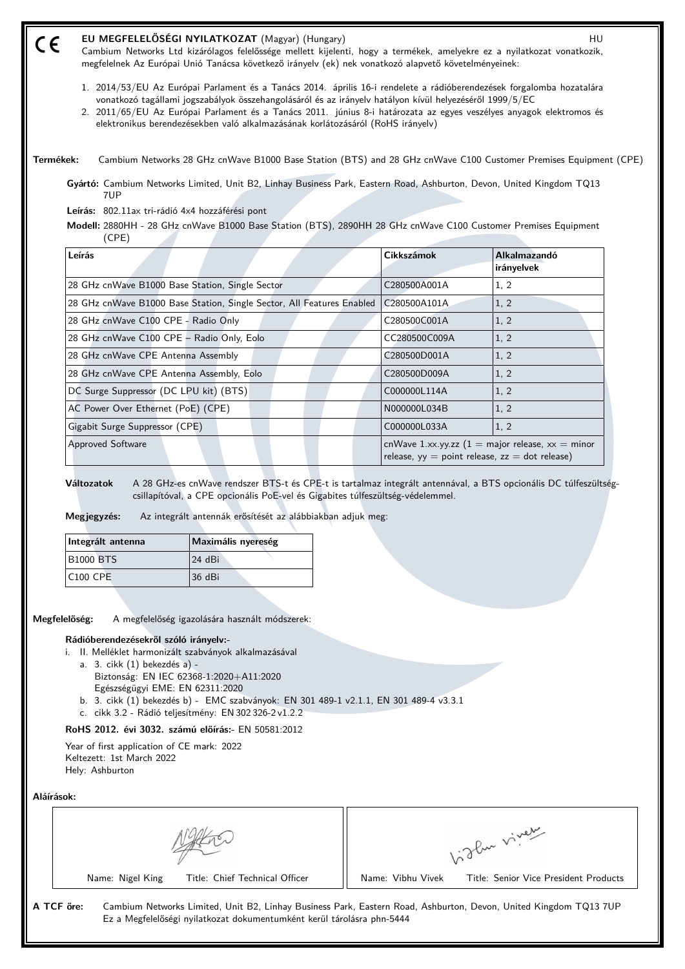#### **EU MEGFELELŐSÉGI NYILATKOZAT** (Magyar) (Hungary) **HU** AU HU (E

Cambium Networks Ltd kizárólagos felelőssége mellett kijelenti, hogy a termékek, amelyekre ez a nyilatkozat vonatkozik, megfelelnek Az Európai Unió Tanácsa következő irányelv (ek) nek vonatkozó alapvető követelményeinek:

- 1. 2014/53/EU Az Európai Parlament és a Tanács 2014. április 16-i rendelete a rádióberendezések forgalomba hozatalára vonatkozó tagállami jogszabályok összehangolásáról és az irányelv hatályon kívül helyezéséről 1999/5/EC
- 2. 2011/65/EU Az Európai Parlament és a Tanács 2011. június 8-i határozata az egyes veszélyes anyagok elektromos és elektronikus berendezésekben való alkalmazásának korlátozásáról (RoHS irányelv)
- **Termékek:** Cambium Networks 28 GHz cnWave B1000 Base Station (BTS) and 28 GHz cnWave C100 Customer Premises Equipment (CPE)

**Gyártó:** Cambium Networks Limited, Unit B2, Linhay Business Park, Eastern Road, Ashburton, Devon, United Kingdom TQ13 7UP

**Leírás:** 802.11ax tri-rádió 4x4 hozzáférési pont

**Modell:** 2880HH - 28 GHz cnWave B1000 Base Station (BTS), 2890HH 28 GHz cnWave C100 Customer Premises Equipment (CPE)

| Leírás                                                                | Cikkszámok                                                                                                            | Alkalmazandó<br>irányelvek |
|-----------------------------------------------------------------------|-----------------------------------------------------------------------------------------------------------------------|----------------------------|
| 28 GHz cnWave B1000 Base Station, Single Sector                       | C280500A001A                                                                                                          | 1, 2                       |
| 28 GHz cnWave B1000 Base Station, Single Sector, All Features Enabled | C280500A101A                                                                                                          | 1, 2                       |
| 28 GHz cnWave C100 CPE - Radio Only                                   | C280500C001A                                                                                                          | 1, 2                       |
| 28 GHz cnWave C100 CPE - Radio Only, Eolo                             | CC280500C009A                                                                                                         | 1, 2                       |
| 28 GHz cnWave CPE Antenna Assembly                                    | C280500D001A                                                                                                          | 1, 2                       |
| 28 GHz cnWave CPE Antenna Assembly, Eolo                              | C280500D009A                                                                                                          | 1, 2                       |
| DC Surge Suppressor (DC LPU kit) (BTS)                                | C000000L114A                                                                                                          | 1, 2                       |
| AC Power Over Ethernet (PoE) (CPE)                                    | N000000L034B                                                                                                          | 1, 2                       |
| Gigabit Surge Suppressor (CPE)                                        | C000000L033A                                                                                                          | 1, 2                       |
| <b>Approved Software</b>                                              | cnWave 1.xx.yy.zz $(1 = \text{major release}, xx = \text{minor})$<br>release, yy = point release, $zz = dot$ release) |                            |

**Változatok** A 28 GHz-es cnWave rendszer BTS-t és CPE-t is tartalmaz integrált antennával, a BTS opcionális DC túlfeszültségcsillapítóval, a CPE opcionális PoE-vel és Gigabites túlfeszültség-védelemmel.

**Megjegyzés:** Az integrált antennák erősítését az alábbiakban adjuk meg:

| Integrált antenna | Maximális nyereség |
|-------------------|--------------------|
| <b>B1000 BTS</b>  | 124 dBi            |
| $ C100$ CPE       | 36 dBi             |

**Megfelelőség:** A megfelelőség igazolására használt módszerek:

## **Rádióberendezésekről szóló irányelv:-**

- i. II. Melléklet harmonizált szabványok alkalmazásával
	- a. 3. cikk (1) bekezdés a) Biztonság: EN IEC 62368‑1:2020+A11:2020 Egészségügyi EME: EN 62311:2020
	- b. 3. cikk (1) bekezdés b) EMC szabványok: EN 301 489-1 v2.1.1, EN 301 489-4 v3.3.1
	- c. cikk 3.2 Rádió teljesítmény: EN 302 326-2 v1.2.2

### **RoHS 2012. évi 3032. számú előírás:-** EN 50581:2012

Year of first application of CE mark: 2022 Keltezett: 1st March 2022 Hely: Ashburton

**Aláírások:**

|                                | $\sim$<br>$\lambda$                   |
|--------------------------------|---------------------------------------|
| Title: Chief Technical Officer | Title: Senior Vice President Products |
| Name: Nigel King               | Name: Vibhu Vivek                     |

**A TCF őre:** Cambium Networks Limited, Unit B2, Linhay Business Park, Eastern Road, Ashburton, Devon, United Kingdom TQ13 7UP Ez a Megfelelőségi nyilatkozat dokumentumként kerül tárolásra phn-5444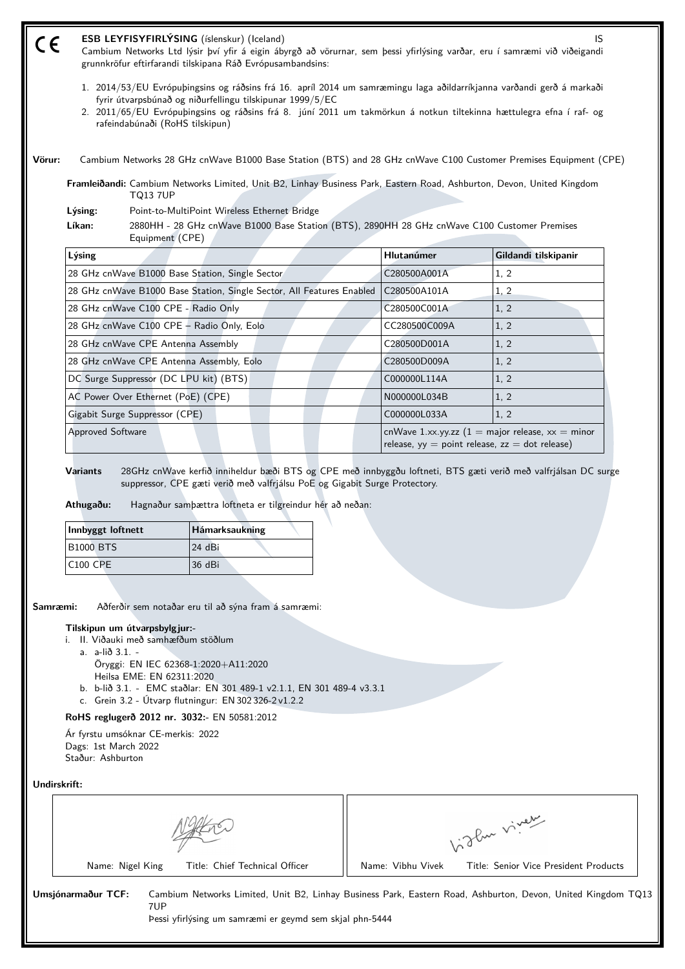| CE                                    | ESB LEYFISYFIRLÝSING (íslenskur) (Iceland)<br>Cambium Networks Ltd lýsir því yfir á eigin ábyrgð að vörurnar, sem þessi yfirlýsing varðar, eru í samræmi við viðeigandi<br>grunnkröfur eftirfarandi tilskipana Ráð Evrópusambandsins:                                                                                                        |              | IS                                                                                                                      |  |
|---------------------------------------|----------------------------------------------------------------------------------------------------------------------------------------------------------------------------------------------------------------------------------------------------------------------------------------------------------------------------------------------|--------------|-------------------------------------------------------------------------------------------------------------------------|--|
|                                       | 1. 2014/53/EU Evrópuþingsins og ráðsins frá 16. apríl 2014 um samræmingu laga aðildarríkjanna varðandi gerð á markaði<br>fyrir útvarpsbúnað og niðurfellingu tilskipunar 1999/5/EC<br>2. 2011/65/EU Evrópubingsins og ráðsins frá 8. júní 2011 um takmörkun á notkun tiltekinna hættulegra efna í raf- og<br>rafeindabúnaði (RoHS tilskipun) |              |                                                                                                                         |  |
| Vörur:                                | Cambium Networks 28 GHz cnWave B1000 Base Station (BTS) and 28 GHz cnWave C100 Customer Premises Equipment (CPE)                                                                                                                                                                                                                             |              |                                                                                                                         |  |
|                                       | Framleiðandi: Cambium Networks Limited, Unit B2, Linhay Business Park, Eastern Road, Ashburton, Devon, United Kingdom<br><b>TQ13 7UP</b>                                                                                                                                                                                                     |              |                                                                                                                         |  |
| Lýsing:                               | Point-to-MultiPoint Wireless Ethernet Bridge                                                                                                                                                                                                                                                                                                 |              |                                                                                                                         |  |
| Líkan:                                | 2880HH - 28 GHz cnWave B1000 Base Station (BTS), 2890HH 28 GHz cnWave C100 Customer Premises<br>Equipment (CPE)                                                                                                                                                                                                                              |              |                                                                                                                         |  |
| Lýsing                                |                                                                                                                                                                                                                                                                                                                                              | Hlutanúmer   | Gildandi tilskipanir                                                                                                    |  |
|                                       | 28 GHz cnWave B1000 Base Station, Single Sector                                                                                                                                                                                                                                                                                              |              | 1.2                                                                                                                     |  |
|                                       | 28 GHz cnWave B1000 Base Station, Single Sector, All Features Enabled                                                                                                                                                                                                                                                                        |              | 1, 2                                                                                                                    |  |
|                                       | 28 GHz cnWave C100 CPE - Radio Only                                                                                                                                                                                                                                                                                                          |              | 1, 2                                                                                                                    |  |
|                                       | 28 GHz cnWave C100 CPE - Radio Only, Eolo                                                                                                                                                                                                                                                                                                    |              | 1, 2                                                                                                                    |  |
|                                       | 28 GHz cnWave CPE Antenna Assembly                                                                                                                                                                                                                                                                                                           |              | 1, 2                                                                                                                    |  |
|                                       | 28 GHz cnWave CPE Antenna Assembly, Eolo                                                                                                                                                                                                                                                                                                     |              | 1, 2                                                                                                                    |  |
|                                       | DC Surge Suppressor (DC LPU kit) (BTS)                                                                                                                                                                                                                                                                                                       |              | 1, 2                                                                                                                    |  |
|                                       |                                                                                                                                                                                                                                                                                                                                              |              |                                                                                                                         |  |
|                                       | AC Power Over Ethernet (PoE) (CPE)                                                                                                                                                                                                                                                                                                           | N000000L034B | 1, 2                                                                                                                    |  |
|                                       | Gigabit Surge Suppressor (CPE)                                                                                                                                                                                                                                                                                                               | C000000L033A | 1, 2                                                                                                                    |  |
| <b>Approved Software</b>              |                                                                                                                                                                                                                                                                                                                                              |              | cnWave 1.xx.yy.zz $(1 = \text{major release}, xx = \text{minor})$<br>release, $yy = point$ release, $zz = dot$ release) |  |
| <b>Variants</b><br>Athugaðu:          | 28GHz cnWave kerfið inniheldur bæði BTS og CPE með innbyggðu loftneti, BTS gæti verið með valfrjálsan DC surge<br>suppressor, CPE gæti verið með valfrjálsu PoE og Gigabit Surge Protectory.<br>Hagnaður sambættra loftneta er tilgreindur hér að neðan:                                                                                     |              |                                                                                                                         |  |
| Innbyggt loftnett<br><b>B1000 BTS</b> | Hámarksaukning<br>24 dBi                                                                                                                                                                                                                                                                                                                     |              |                                                                                                                         |  |

**Samræmi:** Aðferðir sem notaðar eru til að sýna fram á samræmi:

## **Tilskipun um útvarpsbylgjur:-**

- i. II. Viðauki með samhæfðum stöðlum
	- a. a-lið 3.1. Öryggi: EN IEC 62368‑1:2020+A11:2020
		- Heilsa EME: EN 62311:2020
	- b. b-lið 3.1. EMC staðlar: EN 301 489-1 v2.1.1, EN 301 489-4 v3.3.1
- c. Grein 3.2 Útvarp flutningur: EN 302 326-2 v1.2.2

# **RoHS reglugerð 2012 nr. 3032:-** EN 50581:2012

Ár fyrstu umsóknar CE-merkis: 2022 Dags: 1st March 2022 Staður: Ashburton

**Undirskrift:**

|                                | $\sim$                                |
|--------------------------------|---------------------------------------|
| Title: Chief Technical Officer | Title: Senior Vice President Products |
| Name: Nigel King               | Name: Vibhu Vivek                     |

Par viner

**Umsjónarmaður TCF:** Cambium Networks Limited, Unit B2, Linhay Business Park, Eastern Road, Ashburton, Devon, United Kingdom TQ13 7UP

Þessi yfirlýsing um samræmi er geymd sem skjal phn-5444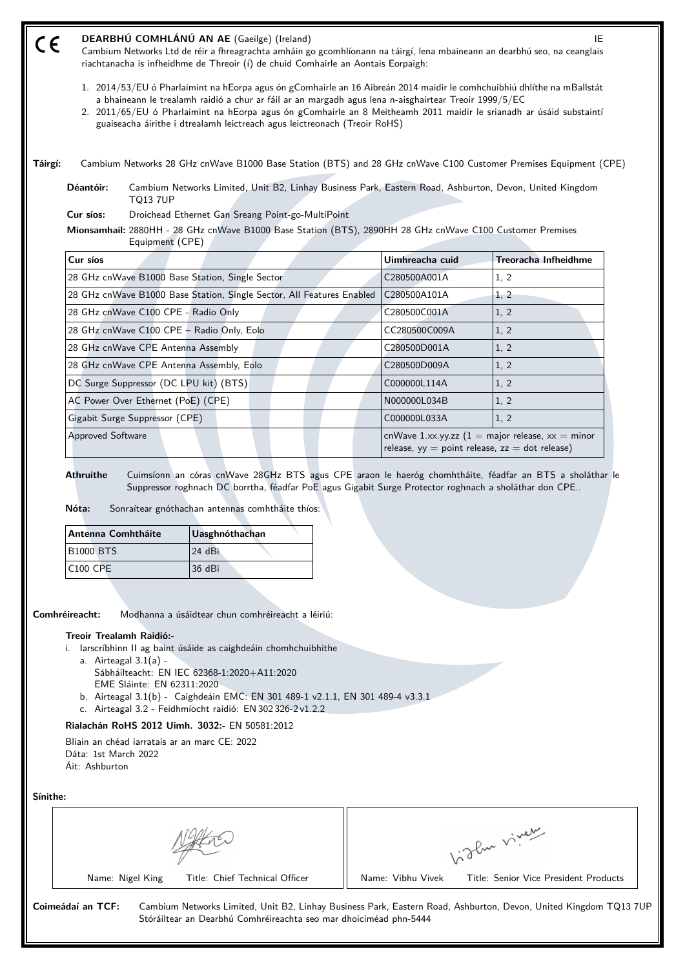| $\epsilon$ | DEARBHÚ COMHLÁNÚ AN AE (Gaeilge) (Ireland)<br>IE<br>Cambium Networks Ltd de réir a fhreagrachta amháin go gcomhlíonann na táirgí, lena mbaineann an dearbhú seo, na ceanglais<br>riachtanacha is infheidhme de Threoir (í) de chuid Comhairle an Aontais Eorpaigh:                                                                                                                                                                   |                                                                                                                            |                 |                             |
|------------|--------------------------------------------------------------------------------------------------------------------------------------------------------------------------------------------------------------------------------------------------------------------------------------------------------------------------------------------------------------------------------------------------------------------------------------|----------------------------------------------------------------------------------------------------------------------------|-----------------|-----------------------------|
|            | 1. 2014/53/EU ó Pharlaimint na hEorpa agus ón gComhairle an 16 Aibreán 2014 maidir le comhchuibhiú dhlíthe na mBallstát<br>a bhaineann le trealamh raidió a chur ar fáil ar an margadh agus lena n-aisghairtear Treoir 1999/5/EC<br>2. 2011/65/EU ó Pharlaimint na hEorpa agus ón gComhairle an 8 Meitheamh 2011 maidir le srianadh ar úsáid substaintí<br>guaiseacha áirithe i dtrealamh leictreach agus leictreonach (Treoir RoHS) |                                                                                                                            |                 |                             |
| Táirgí:    |                                                                                                                                                                                                                                                                                                                                                                                                                                      | Cambium Networks 28 GHz cnWave B1000 Base Station (BTS) and 28 GHz cnWave C100 Customer Premises Equipment (CPE)           |                 |                             |
|            | Déantóir:                                                                                                                                                                                                                                                                                                                                                                                                                            | Cambium Networks Limited, Unit B2, Linhay Business Park, Eastern Road, Ashburton, Devon, United Kingdom<br><b>TQ13 7UP</b> |                 |                             |
|            | Cur síos:<br>Droichead Ethernet Gan Sreang Point-go-MultiPoint<br>Mionsamhail: 2880HH - 28 GHz cnWave B1000 Base Station (BTS), 2890HH 28 GHz cnWave C100 Customer Premises<br>Equipment (CPE)                                                                                                                                                                                                                                       |                                                                                                                            |                 |                             |
|            |                                                                                                                                                                                                                                                                                                                                                                                                                                      |                                                                                                                            |                 |                             |
|            | Cur síos                                                                                                                                                                                                                                                                                                                                                                                                                             |                                                                                                                            | Uimhreacha cuid | <b>Treoracha Infheidhme</b> |
|            |                                                                                                                                                                                                                                                                                                                                                                                                                                      | 28 GHz cnWave B1000 Base Station, Single Sector                                                                            | C280500A001A    | 1, 2                        |
|            |                                                                                                                                                                                                                                                                                                                                                                                                                                      | 28 GHz cnWave B1000 Base Station, Single Sector, All Features Enabled                                                      | C280500A101A    | 1, 2                        |
|            |                                                                                                                                                                                                                                                                                                                                                                                                                                      | 28 GHz cnWave C100 CPE - Radio Only                                                                                        | C280500C001A    | 1, 2                        |
|            |                                                                                                                                                                                                                                                                                                                                                                                                                                      | 28 GHz cnWave C100 CPE - Radio Only, Eolo                                                                                  | CC280500C009A   | 1, 2                        |
|            |                                                                                                                                                                                                                                                                                                                                                                                                                                      | 28 GHz cnWave CPE Antenna Assembly                                                                                         | C280500D001A    | 1, 2                        |
|            |                                                                                                                                                                                                                                                                                                                                                                                                                                      | 28 GHz cnWave CPE Antenna Assembly, Eolo                                                                                   | C280500D009A    | 1, 2                        |
|            |                                                                                                                                                                                                                                                                                                                                                                                                                                      | DC Surge Suppressor (DC LPU kit) (BTS)                                                                                     | C000000L114A    | 1, 2                        |
|            |                                                                                                                                                                                                                                                                                                                                                                                                                                      | AC Power Over Ethernet (PoE) (CPE)                                                                                         | N000000L034B    | 1, 2                        |
|            |                                                                                                                                                                                                                                                                                                                                                                                                                                      | Gigabit Surge Suppressor (CPE)                                                                                             | C000000L033A    | 1, 2                        |

**Nóta:** Sonraítear gnóthachan antennas comhtháite thíos:

| Antenna Comhtháite | Uasghnóthachan |
|--------------------|----------------|
| <b>B1000 BTS</b>   | 124 dBi        |
| C100 CPE           | 36 dBi         |

**Comhréireacht:** Modhanna a úsáidtear chun comhréireacht a léiriú:

## **Treoir Trealamh Raidió:-**

i. Iarscríbhinn II ag baint úsáide as caighdeáin chomhchuibhithe

- a. Airteagal  $3.1(a)$  -Sábháilteacht: EN IEC 62368‑1:2020+A11:2020
- EME Sláinte: EN 62311:2020
- b. Airteagal 3.1(b) Caighdeáin EMC: EN 301 489-1 v2.1.1, EN 301 489-4 v3.3.1
- c. Airteagal 3.2 Feidhmíocht raidió: EN 302 326-2 v1.2.2

# **Rialachán RoHS 2012 Uimh. 3032:-** EN 50581:2012

Bliain an chéad iarratais ar an marc CE: 2022 Dáta: 1st March 2022 Áit: Ashburton

**Sínithe:**

|                                | ~س ک<br>$\sim$ $V_{\rm env}$          |
|--------------------------------|---------------------------------------|
| Name: Nigel King               | Title: Senior Vice President Products |
| Title: Chief Technical Officer | Name: Vibhu Vivek                     |

Stóráiltear an Dearbhú Comhréireachta seo mar dhoiciméad phn-5444

**Coimeádaí an TCF:** Cambium Networks Limited, Unit B2, Linhay Business Park, Eastern Road, Ashburton, Devon, United Kingdom TQ13 7UP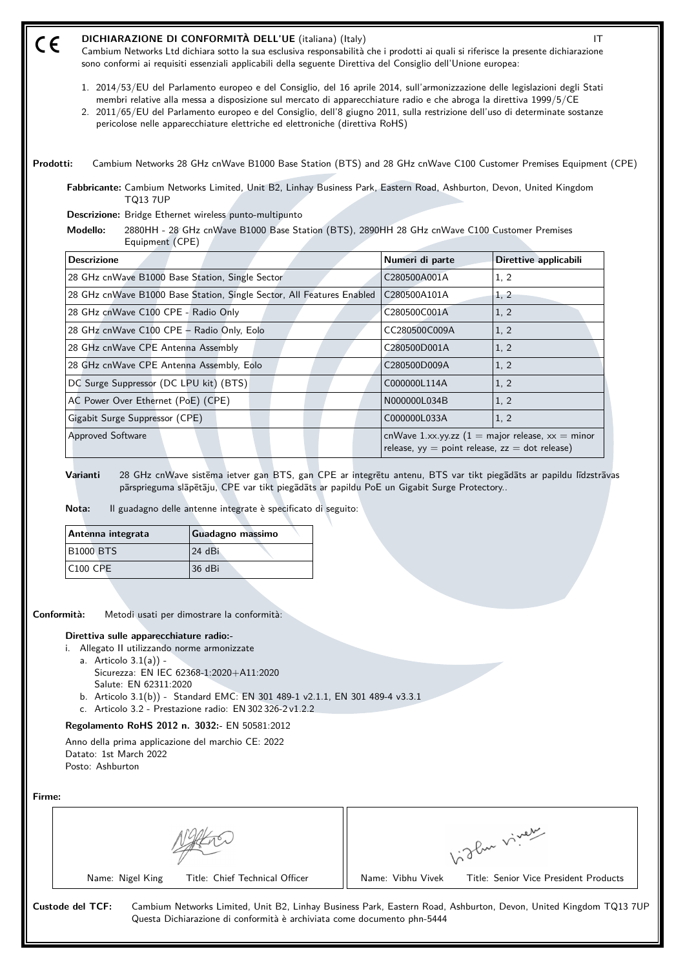| $\epsilon$ | DICHIARAZIONE DI CONFORMITÀ DELL'UE (italiana) (Italy)<br>Cambium Networks Ltd dichiara sotto la sua esclusiva responsabilità che i prodotti ai quali si riferisce la presente dichiarazione<br>sono conformi ai requisiti essenziali applicabili della seguente Direttiva del Consiglio dell'Unione europea:                                                                                                                                                      |                 | IT                    |
|------------|--------------------------------------------------------------------------------------------------------------------------------------------------------------------------------------------------------------------------------------------------------------------------------------------------------------------------------------------------------------------------------------------------------------------------------------------------------------------|-----------------|-----------------------|
|            | 1. 2014/53/EU del Parlamento europeo e del Consiglio, del 16 aprile 2014, sull'armonizzazione delle legislazioni degli Stati<br>membri relative alla messa a disposizione sul mercato di apparecchiature radio e che abroga la direttiva 1999/5/CE<br>2. 2011/65/EU del Parlamento europeo e del Consiglio, dell'8 giugno 2011, sulla restrizione dell'uso di determinate sostanze<br>pericolose nelle apparecchiature elettriche ed elettroniche (direttiva RoHS) |                 |                       |
| Prodotti:  | Cambium Networks 28 GHz cnWave B1000 Base Station (BTS) and 28 GHz cnWave C100 Customer Premises Equipment (CPE)<br>Fabbricante: Cambium Networks Limited, Unit B2, Linhay Business Park, Eastern Road, Ashburton, Devon, United Kingdom                                                                                                                                                                                                                           |                 |                       |
|            | <b>TQ13 7UP</b>                                                                                                                                                                                                                                                                                                                                                                                                                                                    |                 |                       |
|            | Descrizione: Bridge Ethernet wireless punto-multipunto                                                                                                                                                                                                                                                                                                                                                                                                             |                 |                       |
|            | Modello:<br>2880HH - 28 GHz cnWave B1000 Base Station (BTS), 2890HH 28 GHz cnWave C100 Customer Premises<br>Equipment (CPE)                                                                                                                                                                                                                                                                                                                                        |                 |                       |
|            | <b>Descrizione</b>                                                                                                                                                                                                                                                                                                                                                                                                                                                 | Numeri di parte | Direttive applicabili |
|            |                                                                                                                                                                                                                                                                                                                                                                                                                                                                    |                 |                       |
|            | 28 GHz cnWave B1000 Base Station, Single Sector                                                                                                                                                                                                                                                                                                                                                                                                                    | C280500A001A    | 1, 2                  |
|            | 28 GHz cnWave B1000 Base Station, Single Sector, All Features Enabled                                                                                                                                                                                                                                                                                                                                                                                              | C280500A101A    | 1, 2                  |
|            | 28 GHz cnWave C100 CPE - Radio Only                                                                                                                                                                                                                                                                                                                                                                                                                                | C280500C001A    | 1, 2                  |
|            | 28 GHz cnWave C100 CPE - Radio Only, Eolo                                                                                                                                                                                                                                                                                                                                                                                                                          | CC280500C009A   | 1, 2                  |
|            | 28 GHz cnWave CPE Antenna Assembly                                                                                                                                                                                                                                                                                                                                                                                                                                 | C280500D001A    | 1, 2                  |
|            | 28 GHz cnWave CPE Antenna Assembly, Eolo                                                                                                                                                                                                                                                                                                                                                                                                                           | C280500D009A    | 1, 2                  |
|            | DC Surge Suppressor (DC LPU kit) (BTS)                                                                                                                                                                                                                                                                                                                                                                                                                             | C000000L114A    | 1, 2                  |
|            | AC Power Over Ethernet (PoE) (CPE)                                                                                                                                                                                                                                                                                                                                                                                                                                 | N000000L034B    | 1, 2                  |
|            | Gigabit Surge Suppressor (CPE)                                                                                                                                                                                                                                                                                                                                                                                                                                     | C000000L033A    | 1, 2                  |

**Varianti** 28 GHz cnWave sistēma ietver gan BTS, gan CPE ar integrētu antenu, BTS var tikt piegādāts ar papildu līdzstrāvas pārsprieguma slāpētāju, CPE var tikt piegādāts ar papildu PoE un Gigabit Surge Protectory..

**Nota:** Il guadagno delle antenne integrate è specificato di seguito:

| Antenna integrata | Guadagno massimo |
|-------------------|------------------|
| <b>B1000 BTS</b>  | 124 dBi          |
| $ C100$ CPE       | 36 dBi           |

**Conformità:** Metodi usati per dimostrare la conformità:

### **Direttiva sulle apparecchiature radio:-**

- i. Allegato II utilizzando norme armonizzate
	- a. Articolo 3.1(a)) Sicurezza: EN IEC 62368‑1:2020+A11:2020 Salute: EN 62311:2020
	- b. Articolo 3.1(b)) Standard EMC: EN 301 489-1 v2.1.1, EN 301 489-4 v3.3.1
	- c. Articolo 3.2 Prestazione radio: EN 302 326-2 v1.2.2

# **Regolamento RoHS 2012 n. 3032:-** EN 50581:2012

Anno della prima applicazione del marchio CE: 2022 Datato: 1st March 2022 Posto: Ashburton

**Firme:**

|                                | $\sim$<br>$P_{\rm inv}$               |
|--------------------------------|---------------------------------------|
| Title: Chief Technical Officer | Title: Senior Vice President Products |
| Name: Nigel King               | Name: Vibhu Vivek                     |

**Custode del TCF:** Cambium Networks Limited, Unit B2, Linhay Business Park, Eastern Road, Ashburton, Devon, United Kingdom TQ13 7UP Questa Dichiarazione di conformità è archiviata come documento phn-5444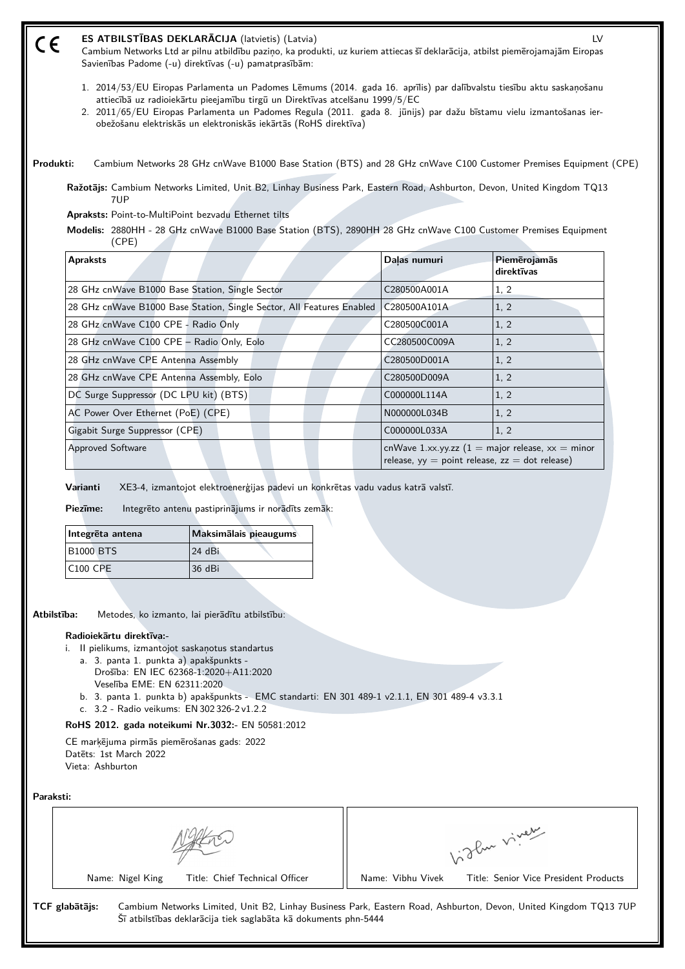#### **ES ATBILSTĪBAS DEKLARĀCIJA** (latvietis) (Latvia) LV (E

Cambium Networks Ltd ar pilnu atbildību paziņo, ka produkti, uz kuriem attiecas šī deklarācija, atbilst piemērojamajām Eiropas Savienības Padome (-u) direktīvas (-u) pamatprasībām:

- 1. 2014/53/EU Eiropas Parlamenta un Padomes Lēmums (2014. gada 16. aprīlis) par dalībvalstu tiesību aktu saskaņošanu attiecībā uz radioiekārtu pieejamību tirgū un Direktīvas atcelšanu 1999/5/EC
- 2. 2011/65/EU Eiropas Parlamenta un Padomes Regula (2011. gada 8. jūnijs) par dažu bīstamu vielu izmantošanas ierobežošanu elektriskās un elektroniskās iekārtās (RoHS direktīva)

**Produkti:** Cambium Networks 28 GHz cnWave B1000 Base Station (BTS) and 28 GHz cnWave C100 Customer Premises Equipment (CPE)

**Ražotājs:** Cambium Networks Limited, Unit B2, Linhay Business Park, Eastern Road, Ashburton, Devon, United Kingdom TQ13 71IP

**Apraksts:** Point-to-MultiPoint bezvadu Ethernet tilts

**Modelis:** 2880HH - 28 GHz cnWave B1000 Base Station (BTS), 2890HH 28 GHz cnWave C100 Customer Premises Equipment (CPE)

| <b>Apraksts</b>                                                       | Dalas numuri                                                                                                            | Piemērojamās<br>direktīvas |
|-----------------------------------------------------------------------|-------------------------------------------------------------------------------------------------------------------------|----------------------------|
| 28 GHz cnWave B1000 Base Station, Single Sector                       | C280500A001A                                                                                                            | 1, 2                       |
| 28 GHz cnWave B1000 Base Station, Single Sector, All Features Enabled | C280500A101A                                                                                                            | 1, 2                       |
| 28 GHz cnWave C100 CPE - Radio Only                                   | C280500C001A                                                                                                            | 1, 2                       |
| 28 GHz cnWave C100 CPE - Radio Only, Eolo                             | CC280500C009A                                                                                                           | 1, 2                       |
| 28 GHz cnWave CPE Antenna Assembly                                    | C280500D001A                                                                                                            | 1, 2                       |
| 28 GHz cnWave CPE Antenna Assembly, Eolo                              | C280500D009A                                                                                                            | 1, 2                       |
| DC Surge Suppressor (DC LPU kit) (BTS)                                | C000000L114A                                                                                                            | 1, 2                       |
| AC Power Over Ethernet (PoE) (CPE)                                    | N000000L034B                                                                                                            | 1, 2                       |
| Gigabit Surge Suppressor (CPE)                                        | C000000L033A                                                                                                            | 1, 2                       |
| <b>Approved Software</b>                                              | cnWave 1.xx.yy.zz $(1 = \text{major release}, xx = \text{minor})$<br>release, $yy = point$ release, $zz = dot$ release) |                            |

**Varianti** XE3-4, izmantojot elektroenerģijas padevi un konkrētas vadu vadus katrā valstī.

**Piezīme:** Integrēto antenu pastiprinājums ir norādīts zemāk:

| Integrēta antena | Maksimalais pieaugums |
|------------------|-----------------------|
| <b>B1000 BTS</b> | 124 dBi               |
| C100 CPE         | 36 dBi                |

**Atbilstība:** Metodes, ko izmanto, lai pierādītu atbilstību:

### **Radioiekārtu direktīva:-**

i. II pielikums, izmantojot saskaņotus standartus

- a. 3. panta 1. punkta a) apakšpunkts Drošība: EN IEC 62368‑1:2020+A11:2020
- Veselība EME: EN 62311:2020
- b. 3. panta 1. punkta b) apakšpunkts EMC standarti: EN 301 489-1 v2.1.1, EN 301 489-4 v3.3.1

Šī atbilstības deklarācija tiek saglabāta kā dokuments phn-5444

c. 3.2 - Radio veikums: EN 302 326-2 v1.2.2

# **RoHS 2012. gada noteikumi Nr.3032:-** EN 50581:2012

CE marķējuma pirmās piemērošanas gads: 2022 Datēts: 1st March 2022 Vieta: Ashburton

**Paraksti:**

|                                                    | The viver                                                                                                        |
|----------------------------------------------------|------------------------------------------------------------------------------------------------------------------|
| Title: Chief Technical Officer<br>Name: Nigel King | Title: Senior Vice President Products<br>Name: Vibhu Vivek                                                       |
| TCF glabātājs:                                     | Cambium Networks Limited, Unit B2, Linhay Business Park, Eastern Road, Ashburton, Devon, United Kingdom TQ13 7UP |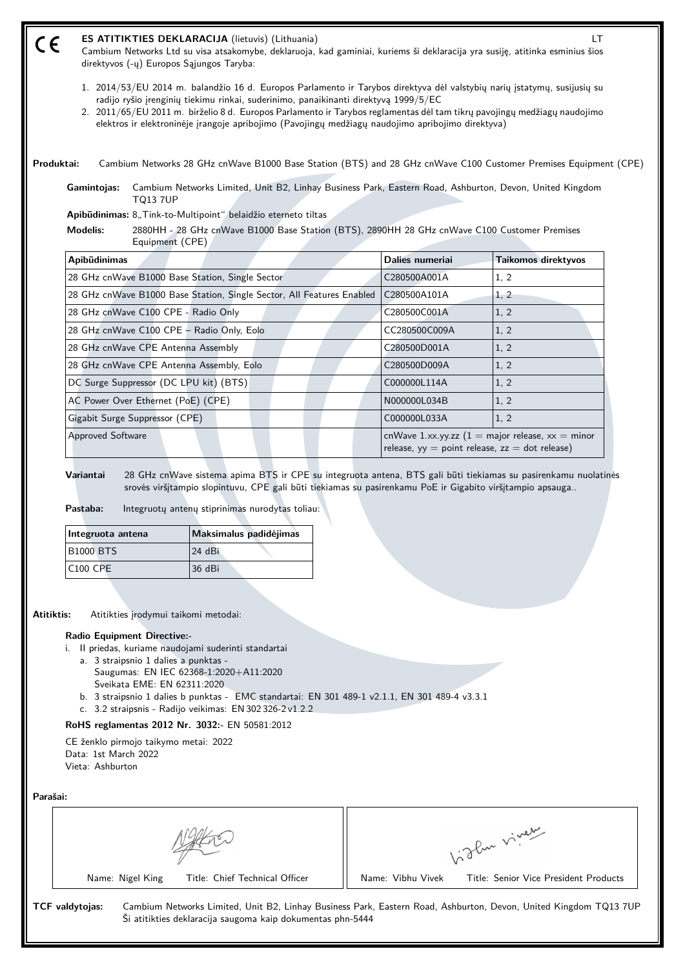| ES ATITIKTIES DEKLARACIJA (lietuvis) (Lithuania)<br>Cambium Networks Ltd su visa atsakomybe, deklaruoja, kad gaminiai, kuriems ši deklaracija yra susiję, atitinka esminius šios<br>direktyvos (-ų) Europos Sąjungos Taryba:                                                                                                                                                                                                                     |                 | <b>LT</b>           |  |
|--------------------------------------------------------------------------------------------------------------------------------------------------------------------------------------------------------------------------------------------------------------------------------------------------------------------------------------------------------------------------------------------------------------------------------------------------|-----------------|---------------------|--|
| 1. 2014/53/EU 2014 m. balandžio 16 d. Europos Parlamento ir Tarybos direktyva dėl valstybių narių įstatymų, susijusių su<br>radijo ryšio įrenginių tiekimu rinkai, suderinimo, panaikinanti direktyvą 1999/5/EC<br>2. 2011/65/EU 2011 m. birželio 8 d. Europos Parlamento ir Tarybos reglamentas dėl tam tikrų pavojingų medžiagų naudojimo<br>elektros ir elektroninėje įrangoje apribojimo (Pavojingų medžiagų naudojimo apribojimo direktyva) |                 |                     |  |
| Cambium Networks 28 GHz cnWave B1000 Base Station (BTS) and 28 GHz cnWave C100 Customer Premises Equipment (CPE)<br>Produktai:                                                                                                                                                                                                                                                                                                                   |                 |                     |  |
| Cambium Networks Limited, Unit B2, Linhay Business Park, Eastern Road, Ashburton, Devon, United Kingdom<br>Gamintojas:<br><b>TQ13 7UP</b>                                                                                                                                                                                                                                                                                                        |                 |                     |  |
| Apibūdinimas: 8,,Tink-to-Multipoint" belaidžio eterneto tiltas                                                                                                                                                                                                                                                                                                                                                                                   |                 |                     |  |
| 2880HH - 28 GHz cnWave B1000 Base Station (BTS), 2890HH 28 GHz cnWave C100 Customer Premises<br><b>Modelis:</b>                                                                                                                                                                                                                                                                                                                                  |                 |                     |  |
| Equipment (CPE)                                                                                                                                                                                                                                                                                                                                                                                                                                  |                 |                     |  |
| Apibūdinimas                                                                                                                                                                                                                                                                                                                                                                                                                                     | Dalies numeriai | Taikomos direktyvos |  |
| 28 GHz cnWave B1000 Base Station, Single Sector                                                                                                                                                                                                                                                                                                                                                                                                  | C280500A001A    | 1, 2                |  |
| 28 GHz cnWave B1000 Base Station, Single Sector, All Features Enabled                                                                                                                                                                                                                                                                                                                                                                            | C280500A101A    | 1, 2                |  |
| 28 GHz cnWave C100 CPE - Radio Only                                                                                                                                                                                                                                                                                                                                                                                                              | C280500C001A    | 1, 2                |  |
| 28 GHz cnWave C100 CPE - Radio Only, Eolo                                                                                                                                                                                                                                                                                                                                                                                                        | CC280500C009A   | 1, 2                |  |
| 28 GHz cnWave CPE Antenna Assembly                                                                                                                                                                                                                                                                                                                                                                                                               | C280500D001A    | 1, 2                |  |
| 28 GHz cnWave CPE Antenna Assembly, Eolo                                                                                                                                                                                                                                                                                                                                                                                                         | C280500D009A    | 1, 2                |  |
| DC Surge Suppressor (DC LPU kit) (BTS)                                                                                                                                                                                                                                                                                                                                                                                                           | C000000L114A    | 1, 2                |  |
| AC Power Over Ethernet (PoE) (CPE)                                                                                                                                                                                                                                                                                                                                                                                                               | N000000L034B    | 1, 2                |  |
| Gigabit Surge Suppressor (CPE)                                                                                                                                                                                                                                                                                                                                                                                                                   | C000000L033A    | 1, 2                |  |

Pastaba: Integruotų antenų stiprinimas nurodytas toliau:

| Integruota antena | Maksimalus padidėjimas |
|-------------------|------------------------|
| <b>B1000 BTS</b>  | 24 dBi                 |
| C100 CPE          | 36 dBi                 |

**Atitiktis:** Atitikties įrodymui taikomi metodai:

### **Radio Equipment Directive:-**

i. II priedas, kuriame naudojami suderinti standartai

- a. 3 straipsnio 1 dalies a punktas
	- Saugumas: EN IEC 62368‑1:2020+A11:2020 Sveikata EME: EN 62311:2020
- b. 3 straipsnio 1 dalies b punktas EMC standartai: EN 301 489-1 v2.1.1, EN 301 489-4 v3.3.1
- c. 3.2 straipsnis Radijo veikimas: EN 302 326-2 v1.2.2

# **RoHS reglamentas 2012 Nr. 3032:-** EN 50581:2012

CE ženklo pirmojo taikymo metai: 2022 Data: 1st March 2022 Vieta: Ashburton

**Parašai:**

|                                                    | about viver                                                                                                      |
|----------------------------------------------------|------------------------------------------------------------------------------------------------------------------|
| Title: Chief Technical Officer<br>Name: Nigel King | Title: Senior Vice President Products<br>Name: Vibhu Vivek                                                       |
| <b>TCF</b> valdytojas:                             | Cambium Networks Limited, Unit B2, Linhay Business Park, Eastern Road, Ashburton, Devon, United Kingdom TQ13 7UP |

Ši atitikties deklaracija saugoma kaip dokumentas phn-5444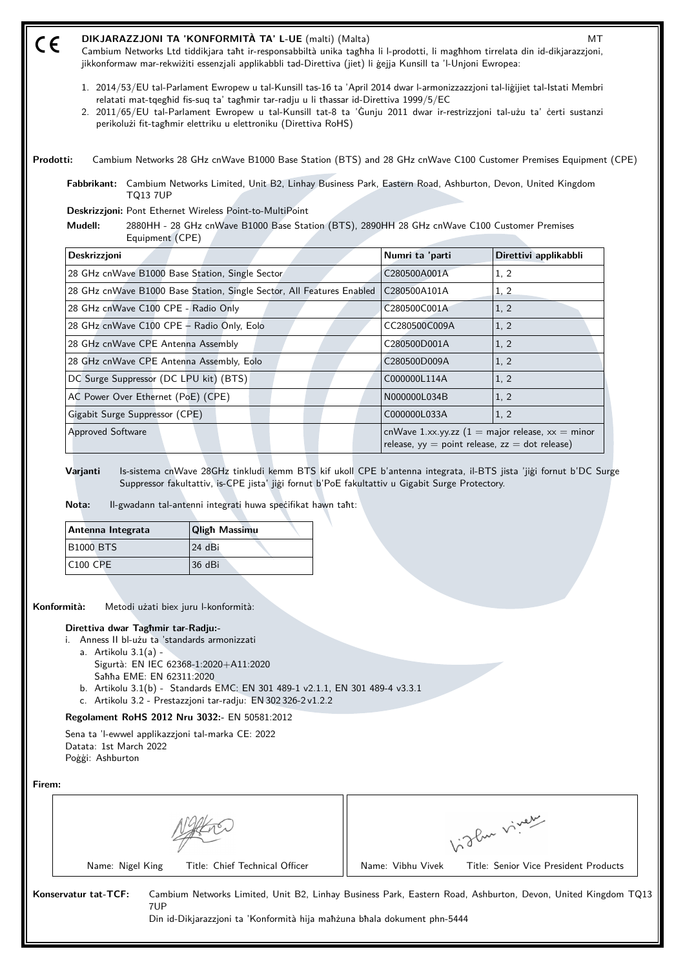| CE                                     |                 | DIKJARAZZJONI TA 'KONFORMITÀ TA' L-UE (malti) (Malta)<br>jikkonformaw mar-rekwiżiti essenzjali applikabbli tad-Direttiva (jiet) li gejja Kunsill ta 'l-Unjoni Ewropea: |                 | мт<br>Cambium Networks Ltd tiddikjara taht ir-responsabbiltà unika taghha li l-prodotti, li maghhom tirrelata din id-dikjarazzjoni,                                                                                                                     |
|----------------------------------------|-----------------|------------------------------------------------------------------------------------------------------------------------------------------------------------------------|-----------------|---------------------------------------------------------------------------------------------------------------------------------------------------------------------------------------------------------------------------------------------------------|
|                                        |                 | relatati mat-tqeghid fis-suq ta' taghmir tar-radju u li thassar id-Direttiva 1999/5/EC<br>perikolużi fit-taghmir elettriku u elettroniku (Direttiva RoHS)              |                 | 1. 2014/53/EU tal-Parlament Ewropew u tal-Kunsill tas-16 ta 'April 2014 dwar l-armonizzazzjoni tal-liğijiet tal-Istati Membri<br>2. 2011/65/EU tal-Parlament Ewropew u tal-Kunsill tat-8 ta 'Gunju 2011 dwar ir-restrizzjoni tal-użu ta' certi sustanzi |
| Prodotti:                              |                 |                                                                                                                                                                        |                 | Cambium Networks 28 GHz cnWave B1000 Base Station (BTS) and 28 GHz cnWave C100 Customer Premises Equipment (CPE)                                                                                                                                        |
|                                        | <b>TQ13 7UP</b> |                                                                                                                                                                        |                 | Fabbrikant: Cambium Networks Limited, Unit B2, Linhay Business Park, Eastern Road, Ashburton, Devon, United Kingdom                                                                                                                                     |
|                                        |                 | Deskrizzjoni: Pont Ethernet Wireless Point-to-MultiPoint                                                                                                               |                 |                                                                                                                                                                                                                                                         |
| Mudell:                                | Equipment (CPE) |                                                                                                                                                                        |                 | 2880HH - 28 GHz cnWave B1000 Base Station (BTS), 2890HH 28 GHz cnWave C100 Customer Premises                                                                                                                                                            |
| Deskrizzjoni                           |                 |                                                                                                                                                                        | Numri ta 'parti | Direttivi applikabbli                                                                                                                                                                                                                                   |
|                                        |                 | 28 GHz cnWave B1000 Base Station, Single Sector                                                                                                                        | C280500A001A    | 1, 2                                                                                                                                                                                                                                                    |
|                                        |                 | 28 GHz cnWave B1000 Base Station, Single Sector, All Features Enabled                                                                                                  | C280500A101A    | 1, 2                                                                                                                                                                                                                                                    |
| 28 GHz cnWave C100 CPE - Radio Only    |                 |                                                                                                                                                                        | C280500C001A    | 1, 2                                                                                                                                                                                                                                                    |
|                                        |                 | 28 GHz cnWave C100 CPE - Radio Only, Eolo                                                                                                                              | CC280500C009A   | 1, 2                                                                                                                                                                                                                                                    |
| 28 GHz cnWave CPE Antenna Assembly     |                 |                                                                                                                                                                        | C280500D001A    | 1, 2                                                                                                                                                                                                                                                    |
|                                        |                 | 28 GHz cnWave CPE Antenna Assembly, Eolo                                                                                                                               | C280500D009A    | 1, 2                                                                                                                                                                                                                                                    |
| DC Surge Suppressor (DC LPU kit) (BTS) |                 |                                                                                                                                                                        | C000000L114A    | 1, 2                                                                                                                                                                                                                                                    |
| AC Power Over Ethernet (PoE) (CPE)     |                 |                                                                                                                                                                        | N000000L034B    | 1, 2                                                                                                                                                                                                                                                    |
| Gigabit Surge Suppressor (CPE)         |                 |                                                                                                                                                                        | C000000L033A    | 1, 2                                                                                                                                                                                                                                                    |
| <b>Approved Software</b>               |                 |                                                                                                                                                                        |                 | cnWave 1.xx.yy.zz $(1 = \text{major release}, xx = \text{minor})$<br>release, $yy = point$ release, $zz = dot$ release)                                                                                                                                 |
| Varjanti<br>Nota:                      |                 | Suppressor fakultattiv, is-CPE jista' jiği fornut b'PoE fakultattiv u Gigabit Surge Protectory.<br>Il-gwadann tal-antenni integrati huwa specifikat hawn taht:         |                 | Is-sistema cnWave 28GHz tinkludi kemm BTS kif ukoll CPE b'antenna integrata, il-BTS jista 'jigi fornut b'DC Surge                                                                                                                                       |
| Antenna Integrata                      |                 | <b>Qligh Massimu</b>                                                                                                                                                   |                 |                                                                                                                                                                                                                                                         |
| <b>B1000 BTS</b>                       |                 | 24 dBi                                                                                                                                                                 |                 |                                                                                                                                                                                                                                                         |
| <b>C100 CPE</b>                        |                 | 36 dBi                                                                                                                                                                 |                 |                                                                                                                                                                                                                                                         |
| Konformità:                            |                 | Metodi użati biex juru l-konformità:                                                                                                                                   |                 |                                                                                                                                                                                                                                                         |

- i. Anness II bl-użu ta 'standards armonizzati a. Artikolu 3.1(a) - Sigurtà: EN IEC 62368‑1:2020+A11:2020 Saħħa EME: EN 62311:2020
	- b. Artikolu 3.1(b) Standards EMC: EN 301 489-1 v2.1.1, EN 301 489-4 v3.3.1
	- c. Artikolu 3.2 Prestazzjoni tar-radju: EN 302 326-2 v1.2.2

## **Regolament RoHS 2012 Nru 3032:-** EN 50581:2012

Sena ta 'l-ewwel applikazzjoni tal-marka CE: 2022 Datata: 1st March 2022 Poġġi: Ashburton

**Firem:**

Vidley viney Name: Nigel King Title: Chief Technical Officer | Name: Vibhu Vivek Title: Senior Vice President Products

**Konservatur tat-TCF:** Cambium Networks Limited, Unit B2, Linhay Business Park, Eastern Road, Ashburton, Devon, United Kingdom TQ13 7UP Din id-Dikjarazzjoni ta 'Konformità hija maħżuna bħala dokument phn-5444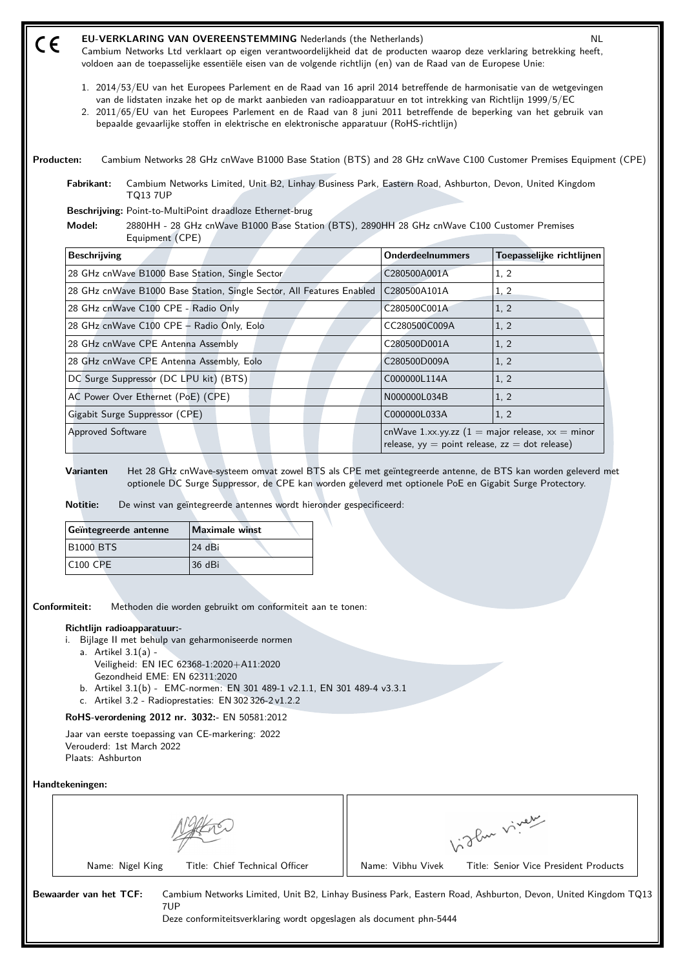| $\epsilon$          | <b>EU-VERKLARING VAN OVEREENSTEMMING Nederlands (the Netherlands)</b><br>Cambium Networks Ltd verklaart op eigen verantwoordelijkheid dat de producten waarop deze verklaring betrekking heeft,<br>voldoen aan de toepasselijke essentiële eisen van de volgende richtlijn (en) van de Raad van de Europese Unie:<br>1. 2014/53/EU van het Europees Parlement en de Raad van 16 april 2014 betreffende de harmonisatie van de wetgevingen<br>van de lidstaten inzake het op de markt aanbieden van radioapparatuur en tot intrekking van Richtlijn 1999/5/EC<br>2. 2011/65/EU van het Europees Parlement en de Raad van 8 juni 2011 betreffende de beperking van het gebruik van<br>bepaalde gevaarlijke stoffen in elektrische en elektronische apparatuur (RoHS-richtlijn) |                         | <b>NL</b>                 |
|---------------------|------------------------------------------------------------------------------------------------------------------------------------------------------------------------------------------------------------------------------------------------------------------------------------------------------------------------------------------------------------------------------------------------------------------------------------------------------------------------------------------------------------------------------------------------------------------------------------------------------------------------------------------------------------------------------------------------------------------------------------------------------------------------------|-------------------------|---------------------------|
| Producten:          | Cambium Networks 28 GHz cnWave B1000 Base Station (BTS) and 28 GHz cnWave C100 Customer Premises Equipment (CPE)                                                                                                                                                                                                                                                                                                                                                                                                                                                                                                                                                                                                                                                             |                         |                           |
| Fabrikant:          | Cambium Networks Limited, Unit B2, Linhay Business Park, Eastern Road, Ashburton, Devon, United Kingdom<br><b>TO13 7UP</b>                                                                                                                                                                                                                                                                                                                                                                                                                                                                                                                                                                                                                                                   |                         |                           |
|                     | Beschrijving: Point-to-MultiPoint draadloze Ethernet-brug                                                                                                                                                                                                                                                                                                                                                                                                                                                                                                                                                                                                                                                                                                                    |                         |                           |
| Model:              | 2880HH - 28 GHz cnWave B1000 Base Station (BTS), 2890HH 28 GHz cnWave C100 Customer Premises<br>Equipment (CPE)                                                                                                                                                                                                                                                                                                                                                                                                                                                                                                                                                                                                                                                              |                         |                           |
| <b>Beschrijving</b> |                                                                                                                                                                                                                                                                                                                                                                                                                                                                                                                                                                                                                                                                                                                                                                              | <b>Onderdeelnummers</b> | Toepasselijke richtlijnen |
|                     |                                                                                                                                                                                                                                                                                                                                                                                                                                                                                                                                                                                                                                                                                                                                                                              |                         |                           |
|                     | 28 GHz cnWave B1000 Base Station, Single Sector                                                                                                                                                                                                                                                                                                                                                                                                                                                                                                                                                                                                                                                                                                                              | C280500A001A            | 1, 2                      |
|                     | 28 GHz cnWave B1000 Base Station, Single Sector, All Features Enabled                                                                                                                                                                                                                                                                                                                                                                                                                                                                                                                                                                                                                                                                                                        | C280500A101A            | 1, 2                      |
|                     | 28 GHz cnWave C100 CPE - Radio Only                                                                                                                                                                                                                                                                                                                                                                                                                                                                                                                                                                                                                                                                                                                                          | C280500C001A            | 1, 2                      |
|                     | 28 GHz cnWave C100 CPE - Radio Only, Eolo                                                                                                                                                                                                                                                                                                                                                                                                                                                                                                                                                                                                                                                                                                                                    | CC280500C009A           | 1, 2                      |
|                     | 28 GHz cnWave CPE Antenna Assembly                                                                                                                                                                                                                                                                                                                                                                                                                                                                                                                                                                                                                                                                                                                                           | C280500D001A            | 1, 2                      |
|                     | 28 GHz cnWave CPE Antenna Assembly, Eolo                                                                                                                                                                                                                                                                                                                                                                                                                                                                                                                                                                                                                                                                                                                                     | C280500D009A            | 1, 2                      |
|                     | DC Surge Suppressor (DC LPU kit) (BTS)                                                                                                                                                                                                                                                                                                                                                                                                                                                                                                                                                                                                                                                                                                                                       | C000000L114A            | 1, 2                      |
|                     | AC Power Over Ethernet (PoE) (CPE)                                                                                                                                                                                                                                                                                                                                                                                                                                                                                                                                                                                                                                                                                                                                           | N000000L034B            | 1, 2                      |
|                     | Gigabit Surge Suppressor (CPE)                                                                                                                                                                                                                                                                                                                                                                                                                                                                                                                                                                                                                                                                                                                                               | C000000L033A            | 1, 2                      |

**Notitie:** De winst van geïntegreerde antennes wordt hieronder gespecificeerd:

| Geïntegreerde antenne | Maximale winst |
|-----------------------|----------------|
| <b>B1000 BTS</b>      | $24$ dBi       |
| $C100$ CPE            | 36 dBi         |

**Conformiteit:** Methoden die worden gebruikt om conformiteit aan te tonen:

## **Richtlijn radioapparatuur:-**

- i. Bijlage II met behulp van geharmoniseerde normen
	- a. Artikel 3.1(a) Veiligheid: EN IEC 62368‑1:2020+A11:2020 Gezondheid EME: EN 62311:2020
	- b. Artikel 3.1(b) EMC-normen: EN 301 489-1 v2.1.1, EN 301 489-4 v3.3.1
	- c. Artikel 3.2 Radioprestaties: EN 302 326-2 v1.2.2

# **RoHS-verordening 2012 nr. 3032:-** EN 50581:2012

Jaar van eerste toepassing van CE-markering: 2022 Verouderd: 1st March 2022 Plaats: Ashburton

**Handtekeningen:**

Name: Nigel King Title: Chief Technical Officer | Name: Vibhu Vivek Title: Senior Vice President Products

Vidley viney

**Bewaarder van het TCF:** Cambium Networks Limited, Unit B2, Linhay Business Park, Eastern Road, Ashburton, Devon, United Kingdom TQ13 7UP

Deze conformiteitsverklaring wordt opgeslagen als document phn-5444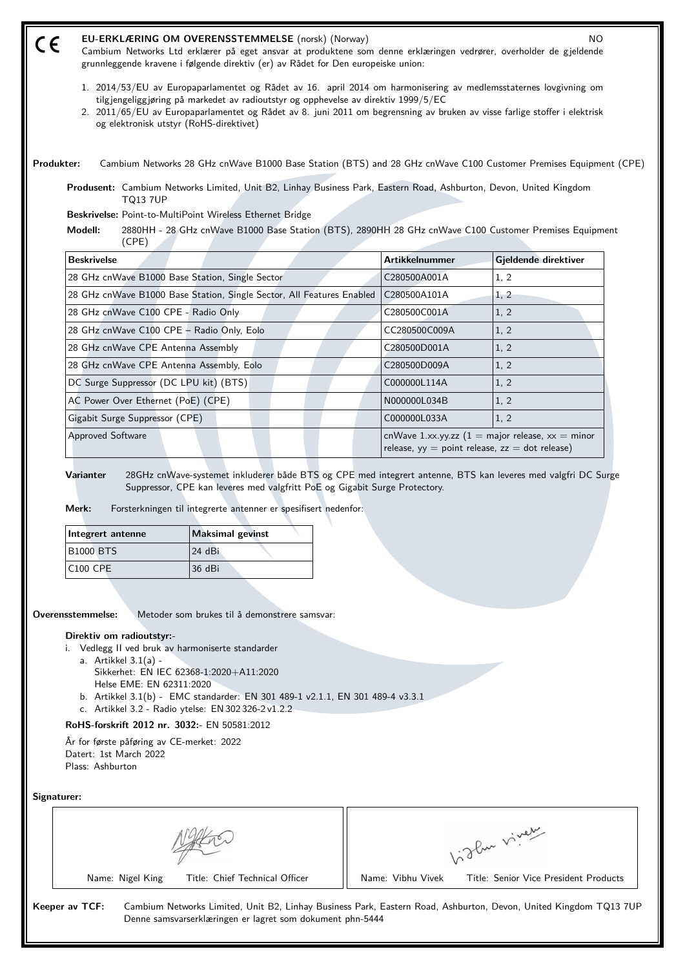| CE                                      |                                        | <b>EU-ERKLÆRING OM OVERENSSTEMMELSE</b> (norsk) (Norway)<br>grunnleggende kravene i følgende direktiv (er) av Rådet for Den europeiske union:                            |                       | <b>NO</b><br>Cambium Networks Ltd erklærer på eget ansvar at produktene som denne erklæringen vedrører, overholder de gjeldende                                                                                                               |
|-----------------------------------------|----------------------------------------|--------------------------------------------------------------------------------------------------------------------------------------------------------------------------|-----------------------|-----------------------------------------------------------------------------------------------------------------------------------------------------------------------------------------------------------------------------------------------|
|                                         |                                        | tilgjengeliggjøring på markedet av radioutstyr og opphevelse av direktiv 1999/5/EC<br>og elektronisk utstyr (RoHS-direktivet)                                            |                       | 1. 2014/53/EU av Europaparlamentet og Rådet av 16. april 2014 om harmonisering av medlemsstaternes lovgivning om<br>2. 2011/65/EU av Europaparlamentet og Rådet av 8. juni 2011 om begrensning av bruken av visse farlige stoffer i elektrisk |
| Produkter:                              |                                        |                                                                                                                                                                          |                       | Cambium Networks 28 GHz cnWave B1000 Base Station (BTS) and 28 GHz cnWave C100 Customer Premises Equipment (CPE)                                                                                                                              |
|                                         | <b>TQ13 7UP</b>                        | Produsent: Cambium Networks Limited, Unit B2, Linhay Business Park, Eastern Road, Ashburton, Devon, United Kingdom                                                       |                       |                                                                                                                                                                                                                                               |
|                                         |                                        | Beskrivelse: Point-to-MultiPoint Wireless Ethernet Bridge                                                                                                                |                       |                                                                                                                                                                                                                                               |
| Modell:                                 | (CPE)                                  |                                                                                                                                                                          |                       | 2880HH - 28 GHz cnWave B1000 Base Station (BTS), 2890HH 28 GHz cnWave C100 Customer Premises Equipment                                                                                                                                        |
| <b>Beskrivelse</b>                      |                                        |                                                                                                                                                                          | <b>Artikkelnummer</b> | Gjeldende direktiver                                                                                                                                                                                                                          |
|                                         |                                        | 28 GHz cnWave B1000 Base Station, Single Sector                                                                                                                          | C280500A001A          | 1, 2                                                                                                                                                                                                                                          |
|                                         |                                        | 28 GHz cnWave B1000 Base Station, Single Sector, All Features Enabled                                                                                                    | C280500A101A          | 1, 2                                                                                                                                                                                                                                          |
|                                         | 28 GHz cnWave C100 CPE - Radio Only    |                                                                                                                                                                          | C280500C001A          | 1, 2                                                                                                                                                                                                                                          |
|                                         |                                        | 28 GHz cnWave C100 CPE - Radio Only, Eolo                                                                                                                                | CC280500C009A         | 1, 2                                                                                                                                                                                                                                          |
|                                         | 28 GHz cnWave CPE Antenna Assembly     |                                                                                                                                                                          | C280500D001A          | 1, 2                                                                                                                                                                                                                                          |
|                                         |                                        | 28 GHz cnWave CPE Antenna Assembly, Eolo                                                                                                                                 | C280500D009A          | 1, 2                                                                                                                                                                                                                                          |
|                                         | DC Surge Suppressor (DC LPU kit) (BTS) |                                                                                                                                                                          | C000000L114A          | 1, 2                                                                                                                                                                                                                                          |
|                                         | AC Power Over Ethernet (PoE) (CPE)     |                                                                                                                                                                          | N000000L034B          | 1, 2                                                                                                                                                                                                                                          |
|                                         | Gigabit Surge Suppressor (CPE)         |                                                                                                                                                                          | C000000L033A          | 1, 2                                                                                                                                                                                                                                          |
| <b>Approved Software</b>                |                                        |                                                                                                                                                                          |                       | cnWave 1.xx.yy.zz $(1 = \text{major release}, xx = \text{minor})$<br>release, $yy = point$ release, $zz = dot$ release)                                                                                                                       |
| Varianter<br>Merk:<br>Integrert antenne |                                        | Suppressor, CPE kan leveres med valgfritt PoE og Gigabit Surge Protectory.<br>Forsterkningen til integrerte antenner er spesifisert nedenfor:<br><b>Maksimal gevinst</b> |                       | 28GHz cnWave-systemet inkluderer både BTS og CPE med integrert antenne, BTS kan leveres med valgfri DC Surge                                                                                                                                  |
| <b>B1000 BTS</b>                        |                                        | 24 dBi                                                                                                                                                                   |                       |                                                                                                                                                                                                                                               |
| C100 CPE                                |                                        | 36 dBi                                                                                                                                                                   |                       |                                                                                                                                                                                                                                               |

**Overensstemmelse:** Metoder som brukes til å demonstrere samsvar:

### **Direktiv om radioutstyr:-**

- i. Vedlegg II ved bruk av harmoniserte standarder a. Artikkel 3.1(a) -
	- Sikkerhet: EN IEC 62368‑1:2020+A11:2020 Helse EME: EN 62311:2020
	- b. Artikkel 3.1(b) EMC standarder: EN 301 489-1 v2.1.1, EN 301 489-4 v3.3.1
	- c. Artikkel 3.2 Radio ytelse: EN 302 326-2 v1.2.2

**RoHS-forskrift 2012 nr. 3032:-** EN 50581:2012

År for første påføring av CE-merket: 2022 Datert: 1st March 2022 Plass: Ashburton

**Signaturer:**

|                                | سربي .<br>$-\sqrt{2}$                 |
|--------------------------------|---------------------------------------|
| Name: Nigel King               | Title: Senior Vice President Products |
| Title: Chief Technical Officer | Name: Vibhu Vivek                     |

**Keeper av TCF:** Cambium Networks Limited, Unit B2, Linhay Business Park, Eastern Road, Ashburton, Devon, United Kingdom TQ13 7UP Denne samsvarserklæringen er lagret som dokument phn-5444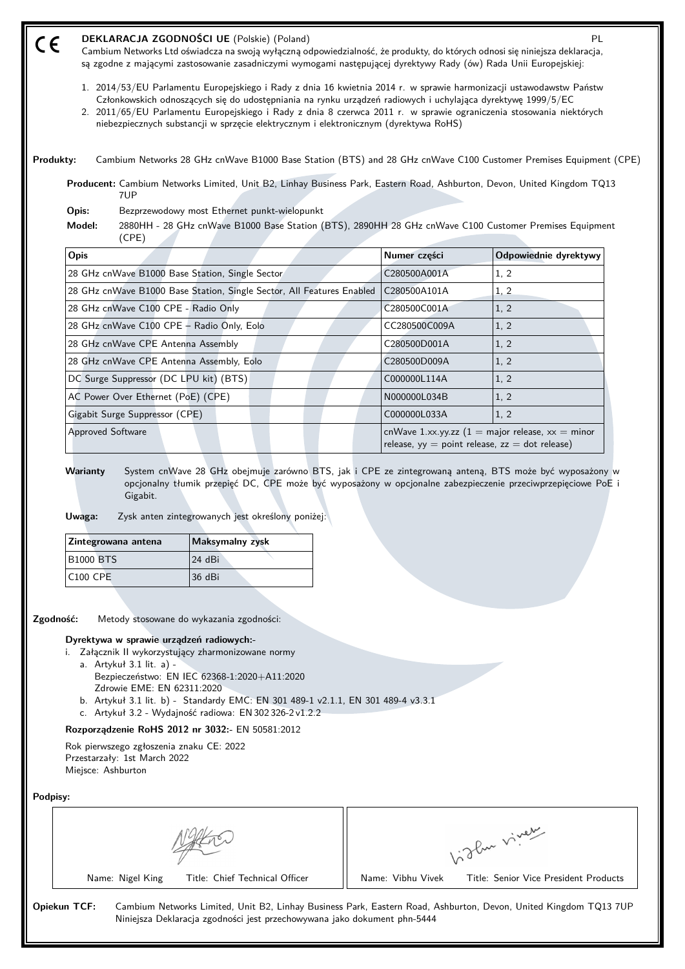| CE              |                                                                                                | DEKLARACJA ZGODNOŚCI UE (Polskie) (Poland)<br>Cambium Networks Ltd oświadcza na swoją wyłączną odpowiedzialność, że produkty, do których odnosi się niniejsza deklaracja,<br>są zgodne z mającymi zastosowanie zasadniczymi wymogami następującej dyrektywy Rady (ów) Rada Unii Europejskiej:                                                                                                                                                     |               | <b>PL</b>                                                                                                               |
|-----------------|------------------------------------------------------------------------------------------------|---------------------------------------------------------------------------------------------------------------------------------------------------------------------------------------------------------------------------------------------------------------------------------------------------------------------------------------------------------------------------------------------------------------------------------------------------|---------------|-------------------------------------------------------------------------------------------------------------------------|
|                 |                                                                                                | 1. 2014/53/EU Parlamentu Europejskiego i Rady z dnia 16 kwietnia 2014 r. w sprawie harmonizacji ustawodawstw Państw<br>Członkowskich odnoszących się do udostępniania na rynku urządzeń radiowych i uchylająca dyrektywę 1999/5/EC<br>2. 2011/65/EU Parlamentu Europejskiego i Rady z dnia 8 czerwca 2011 r. w sprawie ograniczenia stosowania niektórych<br>niebezpiecznych substancji w sprzęcie elektrycznym i elektronicznym (dyrektywa RoHS) |               |                                                                                                                         |
| Produkty:       |                                                                                                | Cambium Networks 28 GHz cnWave B1000 Base Station (BTS) and 28 GHz cnWave C100 Customer Premises Equipment (CPE)                                                                                                                                                                                                                                                                                                                                  |               |                                                                                                                         |
|                 | 7UP                                                                                            | Producent: Cambium Networks Limited, Unit B2, Linhay Business Park, Eastern Road, Ashburton, Devon, United Kingdom TQ13                                                                                                                                                                                                                                                                                                                           |               |                                                                                                                         |
| Opis:           |                                                                                                | Bezprzewodowy most Ethernet punkt-wielopunkt                                                                                                                                                                                                                                                                                                                                                                                                      |               |                                                                                                                         |
| Model:          | (CPE)                                                                                          | 2880HH - 28 GHz cnWave B1000 Base Station (BTS), 2890HH 28 GHz cnWave C100 Customer Premises Equipment                                                                                                                                                                                                                                                                                                                                            |               |                                                                                                                         |
| Opis            |                                                                                                |                                                                                                                                                                                                                                                                                                                                                                                                                                                   | Numer części  | Odpowiednie dyrektywy                                                                                                   |
|                 |                                                                                                | 28 GHz cnWave B1000 Base Station, Single Sector                                                                                                                                                                                                                                                                                                                                                                                                   | C280500A001A  | 1, 2                                                                                                                    |
|                 |                                                                                                | 28 GHz cnWave B1000 Base Station, Single Sector, All Features Enabled                                                                                                                                                                                                                                                                                                                                                                             | C280500A101A  | 1, 2                                                                                                                    |
|                 | 28 GHz cnWave C100 CPE - Radio Only                                                            |                                                                                                                                                                                                                                                                                                                                                                                                                                                   | C280500C001A  | 1, 2                                                                                                                    |
|                 | 28 GHz cnWave C100 CPE - Radio Only, Eolo                                                      |                                                                                                                                                                                                                                                                                                                                                                                                                                                   | CC280500C009A | 1, 2                                                                                                                    |
|                 | 28 GHz cnWave CPE Antenna Assembly                                                             |                                                                                                                                                                                                                                                                                                                                                                                                                                                   | C280500D001A  | 1, 2                                                                                                                    |
|                 | 28 GHz cnWave CPE Antenna Assembly, Eolo                                                       |                                                                                                                                                                                                                                                                                                                                                                                                                                                   | C280500D009A  | 1, 2                                                                                                                    |
|                 | DC Surge Suppressor (DC LPU kit) (BTS)                                                         |                                                                                                                                                                                                                                                                                                                                                                                                                                                   | C000000L114A  | 1, 2                                                                                                                    |
|                 | AC Power Over Ethernet (PoE) (CPE)                                                             |                                                                                                                                                                                                                                                                                                                                                                                                                                                   | N000000L034B  | 1, 2                                                                                                                    |
|                 | Gigabit Surge Suppressor (CPE)                                                                 |                                                                                                                                                                                                                                                                                                                                                                                                                                                   | C000000L033A  | 1, 2                                                                                                                    |
|                 |                                                                                                |                                                                                                                                                                                                                                                                                                                                                                                                                                                   |               |                                                                                                                         |
| <b>Warianty</b> | <b>Approved Software</b><br>Gigabit.                                                           | System cnWave 28 GHz obejmuje zarówno BTS, jak i CPE ze zintegrowaną anteną, BTS może być wyposażony w<br>opcjonalny tłumik przepięć DC, CPE może być wyposażony w opcjonalne zabezpieczenie przeciwprzepięciowe PoE i                                                                                                                                                                                                                            |               | cnWave 1.xx.yy.zz $(1 = \text{major release}, xx = \text{minor})$<br>release, $yy = point$ release, $zz = dot$ release) |
| Uwaga:          |                                                                                                | Zysk anten zintegrowanych jest określony poniżej:                                                                                                                                                                                                                                                                                                                                                                                                 |               |                                                                                                                         |
|                 | Zintegrowana antena                                                                            | Maksymalny zysk                                                                                                                                                                                                                                                                                                                                                                                                                                   |               |                                                                                                                         |
|                 | <b>B1000 BTS</b>                                                                               | 24 dBi                                                                                                                                                                                                                                                                                                                                                                                                                                            |               |                                                                                                                         |
|                 | <b>C100 CPE</b>                                                                                | 36 dBi                                                                                                                                                                                                                                                                                                                                                                                                                                            |               |                                                                                                                         |
| Zgodność:       |                                                                                                | Metody stosowane do wykazania zgodności:                                                                                                                                                                                                                                                                                                                                                                                                          |               |                                                                                                                         |
|                 | Dyrektywa w sprawie urządzeń radiowych:-                                                       | i. Załącznik II wykorzystujący zharmonizowane normy                                                                                                                                                                                                                                                                                                                                                                                               |               |                                                                                                                         |
|                 | a. Artykuł 3.1 lit. a) -<br>Zdrowie EME: EN 62311:2020                                         | Bezpieczeństwo: EN IEC 62368-1:2020+A11:2020<br>b. Artykuł 3.1 lit. b) - Standardy EMC: EN 301 489-1 v2.1.1, EN 301 489-4 v3.3.1<br>c. Artykuł 3.2 - Wydajność radiowa: EN 302 326-2 v1.2.2                                                                                                                                                                                                                                                       |               |                                                                                                                         |
|                 |                                                                                                | Rozporządzenie RoHS 2012 nr 3032:- EN 50581:2012                                                                                                                                                                                                                                                                                                                                                                                                  |               |                                                                                                                         |
|                 | Rok pierwszego zgłoszenia znaku CE: 2022<br>Przestarzały: 1st March 2022<br>Miejsce: Ashburton |                                                                                                                                                                                                                                                                                                                                                                                                                                                   |               |                                                                                                                         |
| Podpisy:        |                                                                                                |                                                                                                                                                                                                                                                                                                                                                                                                                                                   |               |                                                                                                                         |
|                 |                                                                                                |                                                                                                                                                                                                                                                                                                                                                                                                                                                   |               | Vidley viney                                                                                                            |

**Opiekun TCF:** Cambium Networks Limited, Unit B2, Linhay Business Park, Eastern Road, Ashburton, Devon, United Kingdom TQ13 7UP Niniejsza Deklaracja zgodności jest przechowywana jako dokument phn-5444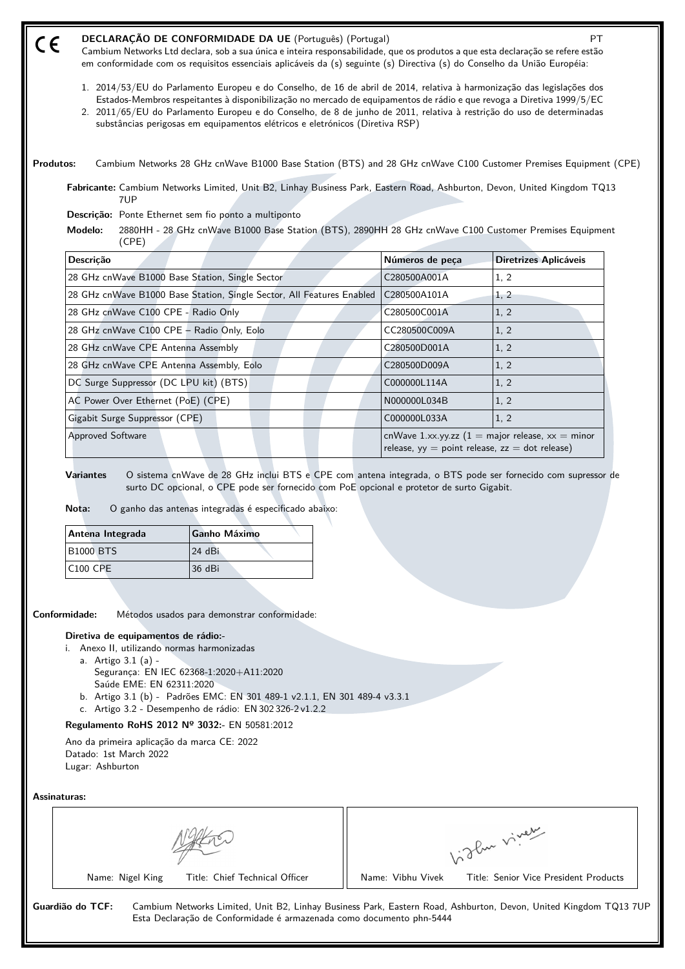| DECLARAÇÃO DE CONFORMIDADE DA UE (Português) (Portugal)                                                                         |  |
|---------------------------------------------------------------------------------------------------------------------------------|--|
| Cambium Networks Ltd declara, sob a sua única e inteira responsabilidade, que os produtos a que esta declaração se refere estão |  |
| em conformidade com os requisitos essenciais aplicáveis da (s) seguinte (s) Directiva (s) do Conselho da União Européia:        |  |

- 1. 2014/53/EU do Parlamento Europeu e do Conselho, de 16 de abril de 2014, relativa à harmonização das legislações dos Estados-Membros respeitantes à disponibilização no mercado de equipamentos de rádio e que revoga a Diretiva 1999/5/EC
- 2. 2011/65/EU do Parlamento Europeu e do Conselho, de 8 de junho de 2011, relativa à restrição do uso de determinadas substâncias perigosas em equipamentos elétricos e eletrónicos (Diretiva RSP)

**Produtos:** Cambium Networks 28 GHz cnWave B1000 Base Station (BTS) and 28 GHz cnWave C100 Customer Premises Equipment (CPE)

**Fabricante:** Cambium Networks Limited, Unit B2, Linhay Business Park, Eastern Road, Ashburton, Devon, United Kingdom TQ13 7UP

**Descrição:** Ponte Ethernet sem fio ponto a multiponto

**Modelo:** 2880HH - 28 GHz cnWave B1000 Base Station (BTS), 2890HH 28 GHz cnWave C100 Customer Premises Equipment (CPE)

| Descrição                                                             | Números de peça                                                                                                         | Diretrizes Aplicáveis |
|-----------------------------------------------------------------------|-------------------------------------------------------------------------------------------------------------------------|-----------------------|
| 28 GHz cnWave B1000 Base Station, Single Sector                       | C280500A001A                                                                                                            | 1, 2                  |
| 28 GHz cnWave B1000 Base Station, Single Sector, All Features Enabled | C280500A101A                                                                                                            | 1, 2                  |
| 28 GHz cnWave C100 CPE - Radio Only                                   | C280500C001A                                                                                                            | 1, 2                  |
| 28 GHz cnWave C100 CPE - Radio Only, Eolo                             | CC280500C009A                                                                                                           | 1, 2                  |
| 28 GHz cnWave CPE Antenna Assembly                                    | C280500D001A                                                                                                            | 1, 2                  |
| 28 GHz cnWave CPE Antenna Assembly, Eolo                              | C280500D009A                                                                                                            | 1, 2                  |
| DC Surge Suppressor (DC LPU kit) (BTS)                                | C000000L114A                                                                                                            | 1, 2                  |
| AC Power Over Ethernet (PoE) (CPE)                                    | N000000L034B                                                                                                            | 1, 2                  |
| Gigabit Surge Suppressor (CPE)                                        | C000000L033A                                                                                                            | 1, 2                  |
| <b>Approved Software</b>                                              | cnWave 1.xx.yy.zz $(1 = \text{major release}, xx = \text{minor})$<br>release, $yy = point$ release, $zz = dot$ release) |                       |

**Variantes** O sistema cnWave de 28 GHz inclui BTS e CPE com antena integrada, o BTS pode ser fornecido com supressor de surto DC opcional, o CPE pode ser fornecido com PoE opcional e protetor de surto Gigabit.

**Nota:** O ganho das antenas integradas é especificado abaixo:

| Antena Integrada | Ganho Máximo |
|------------------|--------------|
| <b>B1000 BTS</b> | 124 dBi      |
| $ C100$ CPE      | 36 dBi       |

**Conformidade:** Métodos usados para demonstrar conformidade:

## **Diretiva de equipamentos de rádio:-**

i. Anexo II, utilizando normas harmonizadas

a. Artigo 3.1 (a) - Segurança: EN IEC 62368‑1:2020+A11:2020 Saúde EME: EN 62311:2020

- b. Artigo 3.1 (b) Padrões EMC: EN 301 489-1 v2.1.1, EN 301 489-4 v3.3.1
- c. Artigo 3.2 Desempenho de rádio: EN 302 326-2 v1.2.2

# **Regulamento RoHS 2012 Nº 3032:-** EN 50581:2012

Ano da primeira aplicação da marca CE: 2022 Datado: 1st March 2022 Lugar: Ashburton

**Assinaturas:**

(E

|                                | ∾ری د<br>$R_{\rm w}$ $V$              |
|--------------------------------|---------------------------------------|
| Name: Nigel King               | Title: Senior Vice President Products |
| Title: Chief Technical Officer | Name: Vibhu Vivek                     |

**Guardião do TCF:** Cambium Networks Limited, Unit B2, Linhay Business Park, Eastern Road, Ashburton, Devon, United Kingdom TQ13 7UP Esta Declaração de Conformidade é armazenada como documento phn-5444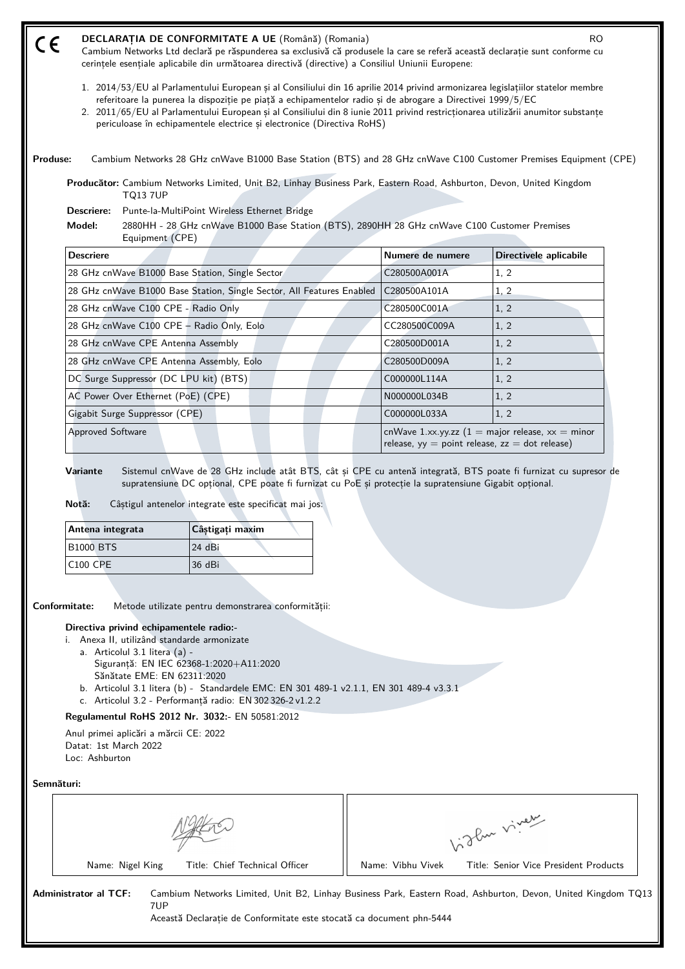| $\epsilon$ |                  | DECLARAȚIA DE CONFORMITATE A UE (Română) (Romania)<br>Cambium Networks Ltd declară pe răspunderea sa exclusivă că produsele la care se referă această declarație sunt conforme cu<br>cerințele esențiale aplicabile din următoarea directivă (directive) a Consiliul Uniunii Europene:                                                                                                                                                                      |                  | <b>RO</b>              |
|------------|------------------|-------------------------------------------------------------------------------------------------------------------------------------------------------------------------------------------------------------------------------------------------------------------------------------------------------------------------------------------------------------------------------------------------------------------------------------------------------------|------------------|------------------------|
|            |                  | 1. 2014/53/EU al Parlamentului European și al Consiliului din 16 aprilie 2014 privind armonizarea legislațiilor statelor membre<br>referitoare la punerea la dispoziție pe piață a echipamentelor radio și de abrogare a Directivei 1999/5/EC<br>2. 2011/65/EU al Parlamentului European și al Consiliului din 8 iunie 2011 privind restricționarea utilizării anumitor substanțe<br>periculoase în echipamentele electrice și electronice (Directiva RoHS) |                  |                        |
| Produse:   |                  | Cambium Networks 28 GHz cnWave B1000 Base Station (BTS) and 28 GHz cnWave C100 Customer Premises Equipment (CPE)                                                                                                                                                                                                                                                                                                                                            |                  |                        |
|            |                  | Producător: Cambium Networks Limited, Unit B2, Linhay Business Park, Eastern Road, Ashburton, Devon, United Kingdom<br><b>TQ13 7UP</b>                                                                                                                                                                                                                                                                                                                      |                  |                        |
| Model:     | Descriere:       | Punte-la-MultiPoint Wireless Ethernet Bridge<br>2880HH - 28 GHz cnWave B1000 Base Station (BTS), 2890HH 28 GHz cnWave C100 Customer Premises                                                                                                                                                                                                                                                                                                                |                  |                        |
|            |                  |                                                                                                                                                                                                                                                                                                                                                                                                                                                             |                  |                        |
|            | <b>Descriere</b> | Equipment (CPE)                                                                                                                                                                                                                                                                                                                                                                                                                                             | Numere de numere | Directivele aplicabile |
|            |                  | 28 GHz cnWave B1000 Base Station, Single Sector                                                                                                                                                                                                                                                                                                                                                                                                             | C280500A001A     | 1, 2                   |
|            |                  | 28 GHz cnWave B1000 Base Station, Single Sector, All Features Enabled                                                                                                                                                                                                                                                                                                                                                                                       | C280500A101A     | 1, 2                   |
|            |                  | 28 GHz cnWave C100 CPE - Radio Only                                                                                                                                                                                                                                                                                                                                                                                                                         | C280500C001A     | 1, 2                   |
|            |                  | 28 GHz cnWave C100 CPE - Radio Only, Eolo                                                                                                                                                                                                                                                                                                                                                                                                                   | CC280500C009A    | 1, 2                   |
|            |                  | 28 GHz cnWave CPE Antenna Assembly                                                                                                                                                                                                                                                                                                                                                                                                                          | C280500D001A     | 1, 2                   |
|            |                  | 28 GHz cnWave CPE Antenna Assembly, Eolo                                                                                                                                                                                                                                                                                                                                                                                                                    | C280500D009A     | 1, 2                   |
|            |                  | DC Surge Suppressor (DC LPU kit) (BTS)                                                                                                                                                                                                                                                                                                                                                                                                                      | C000000L114A     | 1, 2                   |
|            |                  | AC Power Over Ethernet (PoE) (CPE)                                                                                                                                                                                                                                                                                                                                                                                                                          | N000000L034B     | 1, 2                   |
|            |                  | Gigabit Surge Suppressor (CPE)                                                                                                                                                                                                                                                                                                                                                                                                                              | C000000L033A     | 1, 2                   |

**Notă:** Câștigul antenelor integrate este specificat mai jos:

| Antena integrata     | Câștigați maxim |
|----------------------|-----------------|
| <b>B1000 BTS</b>     | 124 dBi         |
| C <sub>100</sub> CPE | 136 dBi         |

**Conformitate:** Metode utilizate pentru demonstrarea conformității:

## **Directiva privind echipamentele radio:-**

- i. Anexa II, utilizând standarde armonizate
	- a. Articolul 3.1 litera (a) Siguranță: EN IEC 62368‑1:2020+A11:2020 Sănătate EME: EN 62311:2020
	- b. Articolul 3.1 litera (b) Standardele EMC: EN 301 489-1 v2.1.1, EN 301 489-4 v3.3.1
	- c. Articolul 3.2 Performanță radio: EN 302 326-2 v1.2.2

# **Regulamentul RoHS 2012 Nr. 3032:-** EN 50581:2012

Anul primei aplicări a mărcii CE: 2022 Datat: 1st March 2022 Loc: Ashburton

**Semnături:**

| Title: Chief Technical Officer | Name: Vibhu |
|--------------------------------|-------------|
|                                |             |



Vivek Title: Senior Vice President Products

**Administrator al TCF:** Cambium Networks Limited, Unit B2, Linhay Business Park, Eastern Road, Ashburton, Devon, United Kingdom TQ13 7UP

Această Declarație de Conformitate este stocată ca document phn-5444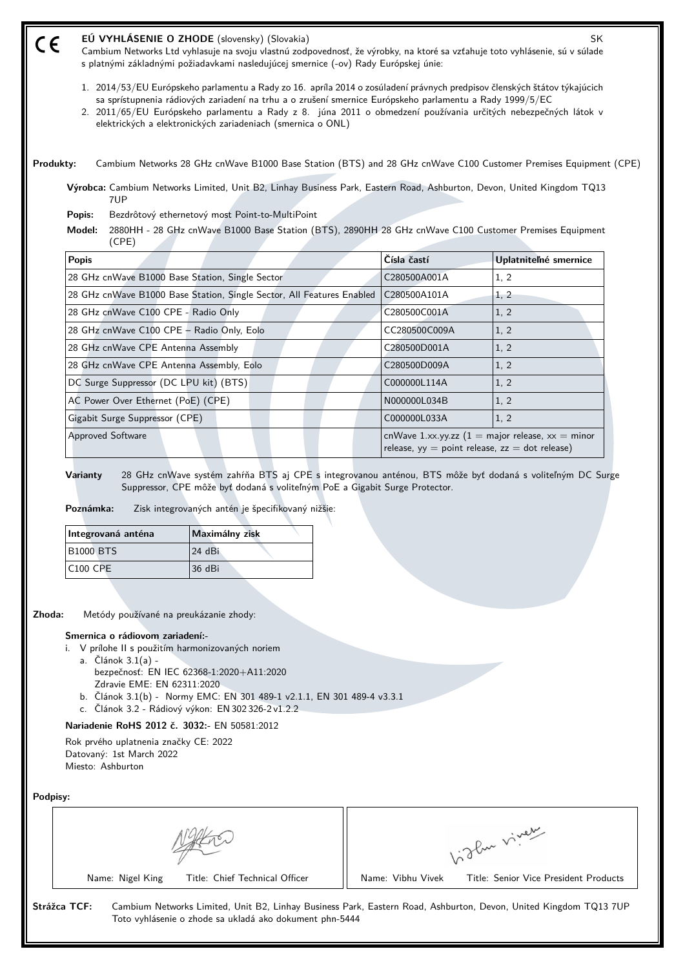| EÚ VYHLÁSENIE O ZHODE (slovensky) (Slovakia)<br>$C\in$<br>Cambium Networks Ltd vyhlasuje na svoju vlastnú zodpovednosť, že výrobky, na ktoré sa vzťahuje toto vyhlásenie, sú v súlade<br>s platnými základnými požiadavkami nasledujúcej smernice (-ov) Rady Európskej únie:                                                                                                                                           |               | <b>SK</b>             |
|------------------------------------------------------------------------------------------------------------------------------------------------------------------------------------------------------------------------------------------------------------------------------------------------------------------------------------------------------------------------------------------------------------------------|---------------|-----------------------|
| 1. 2014/53/EU Európskeho parlamentu a Rady zo 16. apríla 2014 o zosúladení právnych predpisov členských štátov týkajúcich<br>sa sprístupnenia rádiových zariadení na trhu a o zrušení smernice Európskeho parlamentu a Rady 1999/5/EC<br>2. 2011/65/EU Európskeho parlamentu a Rady z 8. júna 2011 o obmedzení používania určitých nebezpečných látok v<br>elektrických a elektronických zariadeniach (smernica o ONL) |               |                       |
| Cambium Networks 28 GHz cnWave B1000 Base Station (BTS) and 28 GHz cnWave C100 Customer Premises Equipment (CPE)<br>Produkty:                                                                                                                                                                                                                                                                                          |               |                       |
| Výrobca: Cambium Networks Limited, Unit B2, Linhay Business Park, Eastern Road, Ashburton, Devon, United Kingdom TQ13<br>7UP                                                                                                                                                                                                                                                                                           |               |                       |
| Bezdrôtový ethernetový most Point-to-MultiPoint<br>Popis:                                                                                                                                                                                                                                                                                                                                                              |               |                       |
|                                                                                                                                                                                                                                                                                                                                                                                                                        |               |                       |
| 2880HH - 28 GHz cnWave B1000 Base Station (BTS), 2890HH 28 GHz cnWave C100 Customer Premises Equipment<br>Model:<br>(CPE)                                                                                                                                                                                                                                                                                              |               |                       |
| <b>Popis</b>                                                                                                                                                                                                                                                                                                                                                                                                           | Čísla častí   | Uplatniteľné smernice |
| 28 GHz cnWave B1000 Base Station, Single Sector                                                                                                                                                                                                                                                                                                                                                                        | C280500A001A  | 1, 2                  |
| 28 GHz cnWave B1000 Base Station, Single Sector, All Features Enabled                                                                                                                                                                                                                                                                                                                                                  | C280500A101A  | 1, 2                  |
| 28 GHz cnWave C100 CPE - Radio Only                                                                                                                                                                                                                                                                                                                                                                                    | C280500C001A  | 1, 2                  |
| 28 GHz cnWave C100 CPE - Radio Only, Eolo                                                                                                                                                                                                                                                                                                                                                                              | CC280500C009A | 1, 2                  |
| 28 GHz cnWave CPE Antenna Assembly                                                                                                                                                                                                                                                                                                                                                                                     | C280500D001A  | 1, 2                  |
| 28 GHz cnWave CPE Antenna Assembly, Eolo                                                                                                                                                                                                                                                                                                                                                                               | C280500D009A  | 1, 2                  |
| DC Surge Suppressor (DC LPU kit) (BTS)                                                                                                                                                                                                                                                                                                                                                                                 | C000000L114A  | 1, 2                  |
| AC Power Over Ethernet (PoE) (CPE)                                                                                                                                                                                                                                                                                                                                                                                     | N000000L034B  | 1, 2                  |
| Gigabit Surge Suppressor (CPE)                                                                                                                                                                                                                                                                                                                                                                                         | C000000L033A  | 1, 2                  |

**Varianty** 28 GHz cnWave systém zahŕňa BTS aj CPE s integrovanou anténou, BTS môže byť dodaná s voliteľným DC Surge Suppressor, CPE môže byť dodaná s voliteľným PoE a Gigabit Surge Protector.

**Poznámka:** Zisk integrovaných antén je špecifikovaný nižšie:

| Integrovaná anténa | Maximálny zisk |
|--------------------|----------------|
| <b>B1000 BTS</b>   | 124 dBi        |
| <b>C100 CPE</b>    | 36 dBi         |

**Zhoda:** Metódy používané na preukázanie zhody:

### **Smernica o rádiovom zariadení:-**

- i. V prílohe II s použitím harmonizovaných noriem
	- a. Článok 3.1(a)
		- bezpečnosť: EN IEC 62368‑1:2020+A11:2020 Zdravie EME: EN 62311:2020
	- b. Článok 3.1(b) Normy EMC: EN 301 489-1 v2.1.1, EN 301 489-4 v3.3.1
	- c. Článok 3.2 Rádiový výkon: EN 302 326-2 v1.2.2

## **Nariadenie RoHS 2012 č. 3032:-** EN 50581:2012

Rok prvého uplatnenia značky CE: 2022 Datovaný: 1st March 2022 Miesto: Ashburton

**Podpisy:**

|                                | inver<br>$.80 \times 10^{-1}$         |
|--------------------------------|---------------------------------------|
| Title: Chief Technical Officer | Title: Senior Vice President Products |
| Name: Nigel King               | Name: Vibhu Vivek                     |

**Strážca TCF:** Cambium Networks Limited, Unit B2, Linhay Business Park, Eastern Road, Ashburton, Devon, United Kingdom TQ13 7UP Toto vyhlásenie o zhode sa ukladá ako dokument phn-5444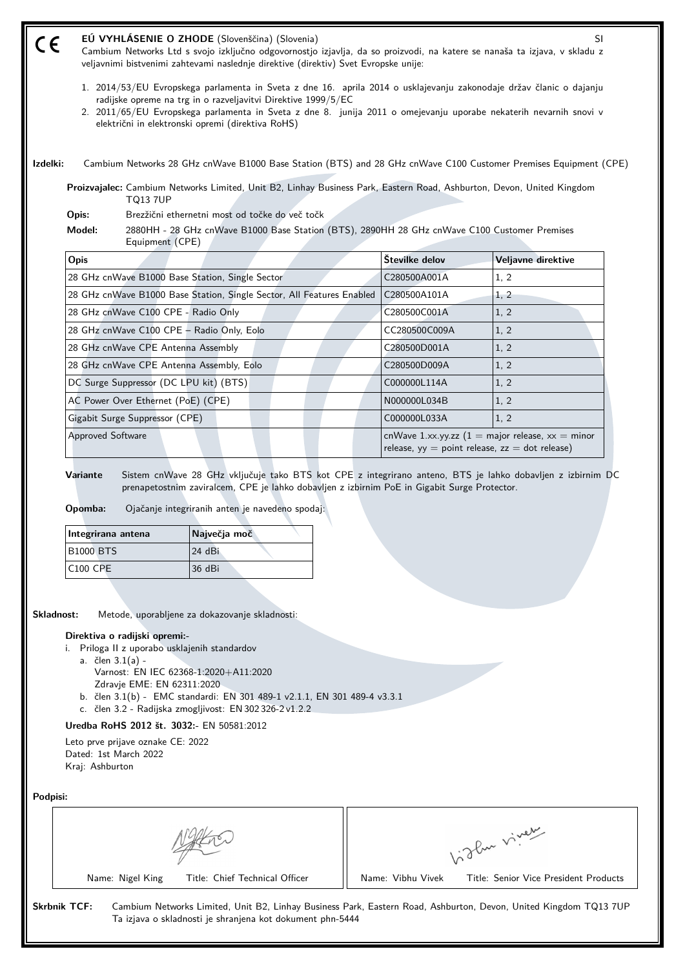| 1. 2014/53/EU Evropskega parlamenta in Sveta z dne 16. aprila 2014 o usklajevanju zakonodaje držav članic o dajanju<br>radijske opreme na trg in o razveljavitvi Direktive 1999/5/EC<br>2. 2011/65/EU Evropskega parlamenta in Sveta z dne 8. junija 2011 o omejevanju uporabe nekaterih nevarnih snovi v<br>električni in elektronski opremi (direktiva RoHS)<br>Izdelki:<br>Cambium Networks 28 GHz cnWave B1000 Base Station (BTS) and 28 GHz cnWave C100 Customer Premises Equipment (CPE)<br>Proizvajalec: Cambium Networks Limited, Unit B2, Linhay Business Park, Eastern Road, Ashburton, Devon, United Kingdom<br><b>TQ13 7UP</b><br>Brezžični ethernetni most od točke do več točk<br>Opis:<br>Model:<br>2880HH - 28 GHz cnWave B1000 Base Station (BTS), 2890HH 28 GHz cnWave C100 Customer Premises<br>Equipment (CPE)<br>Številke delov<br>Veljavne direktive<br><b>Opis</b><br>28 GHz cnWave B1000 Base Station, Single Sector<br>1, 2<br>C280500A001A<br>28 GHz cnWave B1000 Base Station, Single Sector, All Features Enabled<br>C280500A101A<br>1, 2<br>28 GHz cnWave C100 CPE - Radio Only<br>1, 2<br>C280500C001A<br>28 GHz cnWave C100 CPE - Radio Only, Eolo<br>1, 2<br>CC280500C009A<br>28 GHz cnWave CPE Antenna Assembly<br>C280500D001A<br>1, 2<br>28 GHz cnWave CPE Antenna Assembly, Eolo<br>1, 2<br>C280500D009A<br>DC Surge Suppressor (DC LPU kit) (BTS)<br>C000000L114A<br>1, 2<br>AC Power Over Ethernet (PoE) (CPE)<br>1, 2<br>N000000L034B<br>Gigabit Surge Suppressor (CPE)<br>C000000L033A<br>1, 2<br>cnWave 1.xx.yy.zz $(1 = \text{major release}, xx = \text{minor})$<br><b>Approved Software</b><br>release, $yy = point$ release, $zz = dot$ release)<br>Sistem cnWave 28 GHz vključuje tako BTS kot CPE z integrirano anteno, BTS je lahko dobavljen z izbirnim DC<br>Variante<br>prenapetostnim zaviralcem, CPE je lahko dobavljen z izbirnim PoE in Gigabit Surge Protector.<br>Opomba:<br>Ojačanje integriranih anten je navedeno spodaj:<br>Največja moč<br>Integrirana antena<br><b>B1000 BTS</b><br>24 dBi<br><b>C100 CPE</b><br>36 dBi<br>Skladnost:<br>Metode, uporabljene za dokazovanje skladnosti:<br>Direktiva o radijski opremi:-<br>i. Priloga II z uporabo usklajenih standardov<br>a. člen $3.1(a)$ -<br>Varnost: EN IEC 62368-1:2020+A11:2020<br>Zdravje EME: EN 62311:2020<br>b. člen 3.1(b) - EMC standardi: EN 301 489-1 v2.1.1, EN 301 489-4 v3.3.1<br>c. člen 3.2 - Radijska zmogljivost: EN 302 326-2 v1.2.2<br>Uredba RoHS 2012 št. 3032:- EN 50581:2012<br>Leto prve prijave oznake CE: 2022<br>Dated: 1st March 2022<br>Kraj: Ashburton<br>Podpisi:<br>Vidlen viner<br>Name: Nigel King<br>Title: Chief Technical Officer<br>Name: Vibhu Vivek<br>Title: Senior Vice President Products | CE | EÚ VYHLÁSENIE O ZHODE (Slovenščina) (Slovenia)<br>Cambium Networks Ltd s svojo izključno odgovornostjo izjavlja, da so proizvodi, na katere se nanaša ta izjava, v skladu z<br>veljavnimi bistvenimi zahtevami naslednje direktive (direktiv) Svet Evropske unije: | SI |
|------------------------------------------------------------------------------------------------------------------------------------------------------------------------------------------------------------------------------------------------------------------------------------------------------------------------------------------------------------------------------------------------------------------------------------------------------------------------------------------------------------------------------------------------------------------------------------------------------------------------------------------------------------------------------------------------------------------------------------------------------------------------------------------------------------------------------------------------------------------------------------------------------------------------------------------------------------------------------------------------------------------------------------------------------------------------------------------------------------------------------------------------------------------------------------------------------------------------------------------------------------------------------------------------------------------------------------------------------------------------------------------------------------------------------------------------------------------------------------------------------------------------------------------------------------------------------------------------------------------------------------------------------------------------------------------------------------------------------------------------------------------------------------------------------------------------------------------------------------------------------------------------------------------------------------------------------------------------------------------------------------------------------------------------------------------------------------------------------------------------------------------------------------------------------------------------------------------------------------------------------------------------------------------------------------------------------------------------------------------------------------------------------------------------------------------------------------------------------------------------------------------------------------------------------------------------------------------------------------------------------------------------------------------------------------------------------------------------------------------------------------|----|--------------------------------------------------------------------------------------------------------------------------------------------------------------------------------------------------------------------------------------------------------------------|----|
|                                                                                                                                                                                                                                                                                                                                                                                                                                                                                                                                                                                                                                                                                                                                                                                                                                                                                                                                                                                                                                                                                                                                                                                                                                                                                                                                                                                                                                                                                                                                                                                                                                                                                                                                                                                                                                                                                                                                                                                                                                                                                                                                                                                                                                                                                                                                                                                                                                                                                                                                                                                                                                                                                                                                                            |    |                                                                                                                                                                                                                                                                    |    |
|                                                                                                                                                                                                                                                                                                                                                                                                                                                                                                                                                                                                                                                                                                                                                                                                                                                                                                                                                                                                                                                                                                                                                                                                                                                                                                                                                                                                                                                                                                                                                                                                                                                                                                                                                                                                                                                                                                                                                                                                                                                                                                                                                                                                                                                                                                                                                                                                                                                                                                                                                                                                                                                                                                                                                            |    |                                                                                                                                                                                                                                                                    |    |
|                                                                                                                                                                                                                                                                                                                                                                                                                                                                                                                                                                                                                                                                                                                                                                                                                                                                                                                                                                                                                                                                                                                                                                                                                                                                                                                                                                                                                                                                                                                                                                                                                                                                                                                                                                                                                                                                                                                                                                                                                                                                                                                                                                                                                                                                                                                                                                                                                                                                                                                                                                                                                                                                                                                                                            |    |                                                                                                                                                                                                                                                                    |    |
|                                                                                                                                                                                                                                                                                                                                                                                                                                                                                                                                                                                                                                                                                                                                                                                                                                                                                                                                                                                                                                                                                                                                                                                                                                                                                                                                                                                                                                                                                                                                                                                                                                                                                                                                                                                                                                                                                                                                                                                                                                                                                                                                                                                                                                                                                                                                                                                                                                                                                                                                                                                                                                                                                                                                                            |    |                                                                                                                                                                                                                                                                    |    |
|                                                                                                                                                                                                                                                                                                                                                                                                                                                                                                                                                                                                                                                                                                                                                                                                                                                                                                                                                                                                                                                                                                                                                                                                                                                                                                                                                                                                                                                                                                                                                                                                                                                                                                                                                                                                                                                                                                                                                                                                                                                                                                                                                                                                                                                                                                                                                                                                                                                                                                                                                                                                                                                                                                                                                            |    |                                                                                                                                                                                                                                                                    |    |
|                                                                                                                                                                                                                                                                                                                                                                                                                                                                                                                                                                                                                                                                                                                                                                                                                                                                                                                                                                                                                                                                                                                                                                                                                                                                                                                                                                                                                                                                                                                                                                                                                                                                                                                                                                                                                                                                                                                                                                                                                                                                                                                                                                                                                                                                                                                                                                                                                                                                                                                                                                                                                                                                                                                                                            |    |                                                                                                                                                                                                                                                                    |    |
|                                                                                                                                                                                                                                                                                                                                                                                                                                                                                                                                                                                                                                                                                                                                                                                                                                                                                                                                                                                                                                                                                                                                                                                                                                                                                                                                                                                                                                                                                                                                                                                                                                                                                                                                                                                                                                                                                                                                                                                                                                                                                                                                                                                                                                                                                                                                                                                                                                                                                                                                                                                                                                                                                                                                                            |    |                                                                                                                                                                                                                                                                    |    |
|                                                                                                                                                                                                                                                                                                                                                                                                                                                                                                                                                                                                                                                                                                                                                                                                                                                                                                                                                                                                                                                                                                                                                                                                                                                                                                                                                                                                                                                                                                                                                                                                                                                                                                                                                                                                                                                                                                                                                                                                                                                                                                                                                                                                                                                                                                                                                                                                                                                                                                                                                                                                                                                                                                                                                            |    |                                                                                                                                                                                                                                                                    |    |
|                                                                                                                                                                                                                                                                                                                                                                                                                                                                                                                                                                                                                                                                                                                                                                                                                                                                                                                                                                                                                                                                                                                                                                                                                                                                                                                                                                                                                                                                                                                                                                                                                                                                                                                                                                                                                                                                                                                                                                                                                                                                                                                                                                                                                                                                                                                                                                                                                                                                                                                                                                                                                                                                                                                                                            |    |                                                                                                                                                                                                                                                                    |    |
|                                                                                                                                                                                                                                                                                                                                                                                                                                                                                                                                                                                                                                                                                                                                                                                                                                                                                                                                                                                                                                                                                                                                                                                                                                                                                                                                                                                                                                                                                                                                                                                                                                                                                                                                                                                                                                                                                                                                                                                                                                                                                                                                                                                                                                                                                                                                                                                                                                                                                                                                                                                                                                                                                                                                                            |    |                                                                                                                                                                                                                                                                    |    |
|                                                                                                                                                                                                                                                                                                                                                                                                                                                                                                                                                                                                                                                                                                                                                                                                                                                                                                                                                                                                                                                                                                                                                                                                                                                                                                                                                                                                                                                                                                                                                                                                                                                                                                                                                                                                                                                                                                                                                                                                                                                                                                                                                                                                                                                                                                                                                                                                                                                                                                                                                                                                                                                                                                                                                            |    |                                                                                                                                                                                                                                                                    |    |
|                                                                                                                                                                                                                                                                                                                                                                                                                                                                                                                                                                                                                                                                                                                                                                                                                                                                                                                                                                                                                                                                                                                                                                                                                                                                                                                                                                                                                                                                                                                                                                                                                                                                                                                                                                                                                                                                                                                                                                                                                                                                                                                                                                                                                                                                                                                                                                                                                                                                                                                                                                                                                                                                                                                                                            |    |                                                                                                                                                                                                                                                                    |    |
|                                                                                                                                                                                                                                                                                                                                                                                                                                                                                                                                                                                                                                                                                                                                                                                                                                                                                                                                                                                                                                                                                                                                                                                                                                                                                                                                                                                                                                                                                                                                                                                                                                                                                                                                                                                                                                                                                                                                                                                                                                                                                                                                                                                                                                                                                                                                                                                                                                                                                                                                                                                                                                                                                                                                                            |    |                                                                                                                                                                                                                                                                    |    |
|                                                                                                                                                                                                                                                                                                                                                                                                                                                                                                                                                                                                                                                                                                                                                                                                                                                                                                                                                                                                                                                                                                                                                                                                                                                                                                                                                                                                                                                                                                                                                                                                                                                                                                                                                                                                                                                                                                                                                                                                                                                                                                                                                                                                                                                                                                                                                                                                                                                                                                                                                                                                                                                                                                                                                            |    |                                                                                                                                                                                                                                                                    |    |
|                                                                                                                                                                                                                                                                                                                                                                                                                                                                                                                                                                                                                                                                                                                                                                                                                                                                                                                                                                                                                                                                                                                                                                                                                                                                                                                                                                                                                                                                                                                                                                                                                                                                                                                                                                                                                                                                                                                                                                                                                                                                                                                                                                                                                                                                                                                                                                                                                                                                                                                                                                                                                                                                                                                                                            |    |                                                                                                                                                                                                                                                                    |    |
|                                                                                                                                                                                                                                                                                                                                                                                                                                                                                                                                                                                                                                                                                                                                                                                                                                                                                                                                                                                                                                                                                                                                                                                                                                                                                                                                                                                                                                                                                                                                                                                                                                                                                                                                                                                                                                                                                                                                                                                                                                                                                                                                                                                                                                                                                                                                                                                                                                                                                                                                                                                                                                                                                                                                                            |    |                                                                                                                                                                                                                                                                    |    |
|                                                                                                                                                                                                                                                                                                                                                                                                                                                                                                                                                                                                                                                                                                                                                                                                                                                                                                                                                                                                                                                                                                                                                                                                                                                                                                                                                                                                                                                                                                                                                                                                                                                                                                                                                                                                                                                                                                                                                                                                                                                                                                                                                                                                                                                                                                                                                                                                                                                                                                                                                                                                                                                                                                                                                            |    |                                                                                                                                                                                                                                                                    |    |
|                                                                                                                                                                                                                                                                                                                                                                                                                                                                                                                                                                                                                                                                                                                                                                                                                                                                                                                                                                                                                                                                                                                                                                                                                                                                                                                                                                                                                                                                                                                                                                                                                                                                                                                                                                                                                                                                                                                                                                                                                                                                                                                                                                                                                                                                                                                                                                                                                                                                                                                                                                                                                                                                                                                                                            |    |                                                                                                                                                                                                                                                                    |    |
|                                                                                                                                                                                                                                                                                                                                                                                                                                                                                                                                                                                                                                                                                                                                                                                                                                                                                                                                                                                                                                                                                                                                                                                                                                                                                                                                                                                                                                                                                                                                                                                                                                                                                                                                                                                                                                                                                                                                                                                                                                                                                                                                                                                                                                                                                                                                                                                                                                                                                                                                                                                                                                                                                                                                                            |    |                                                                                                                                                                                                                                                                    |    |
|                                                                                                                                                                                                                                                                                                                                                                                                                                                                                                                                                                                                                                                                                                                                                                                                                                                                                                                                                                                                                                                                                                                                                                                                                                                                                                                                                                                                                                                                                                                                                                                                                                                                                                                                                                                                                                                                                                                                                                                                                                                                                                                                                                                                                                                                                                                                                                                                                                                                                                                                                                                                                                                                                                                                                            |    |                                                                                                                                                                                                                                                                    |    |
|                                                                                                                                                                                                                                                                                                                                                                                                                                                                                                                                                                                                                                                                                                                                                                                                                                                                                                                                                                                                                                                                                                                                                                                                                                                                                                                                                                                                                                                                                                                                                                                                                                                                                                                                                                                                                                                                                                                                                                                                                                                                                                                                                                                                                                                                                                                                                                                                                                                                                                                                                                                                                                                                                                                                                            |    |                                                                                                                                                                                                                                                                    |    |
|                                                                                                                                                                                                                                                                                                                                                                                                                                                                                                                                                                                                                                                                                                                                                                                                                                                                                                                                                                                                                                                                                                                                                                                                                                                                                                                                                                                                                                                                                                                                                                                                                                                                                                                                                                                                                                                                                                                                                                                                                                                                                                                                                                                                                                                                                                                                                                                                                                                                                                                                                                                                                                                                                                                                                            |    |                                                                                                                                                                                                                                                                    |    |
|                                                                                                                                                                                                                                                                                                                                                                                                                                                                                                                                                                                                                                                                                                                                                                                                                                                                                                                                                                                                                                                                                                                                                                                                                                                                                                                                                                                                                                                                                                                                                                                                                                                                                                                                                                                                                                                                                                                                                                                                                                                                                                                                                                                                                                                                                                                                                                                                                                                                                                                                                                                                                                                                                                                                                            |    |                                                                                                                                                                                                                                                                    |    |
|                                                                                                                                                                                                                                                                                                                                                                                                                                                                                                                                                                                                                                                                                                                                                                                                                                                                                                                                                                                                                                                                                                                                                                                                                                                                                                                                                                                                                                                                                                                                                                                                                                                                                                                                                                                                                                                                                                                                                                                                                                                                                                                                                                                                                                                                                                                                                                                                                                                                                                                                                                                                                                                                                                                                                            |    |                                                                                                                                                                                                                                                                    |    |
|                                                                                                                                                                                                                                                                                                                                                                                                                                                                                                                                                                                                                                                                                                                                                                                                                                                                                                                                                                                                                                                                                                                                                                                                                                                                                                                                                                                                                                                                                                                                                                                                                                                                                                                                                                                                                                                                                                                                                                                                                                                                                                                                                                                                                                                                                                                                                                                                                                                                                                                                                                                                                                                                                                                                                            |    |                                                                                                                                                                                                                                                                    |    |
|                                                                                                                                                                                                                                                                                                                                                                                                                                                                                                                                                                                                                                                                                                                                                                                                                                                                                                                                                                                                                                                                                                                                                                                                                                                                                                                                                                                                                                                                                                                                                                                                                                                                                                                                                                                                                                                                                                                                                                                                                                                                                                                                                                                                                                                                                                                                                                                                                                                                                                                                                                                                                                                                                                                                                            |    |                                                                                                                                                                                                                                                                    |    |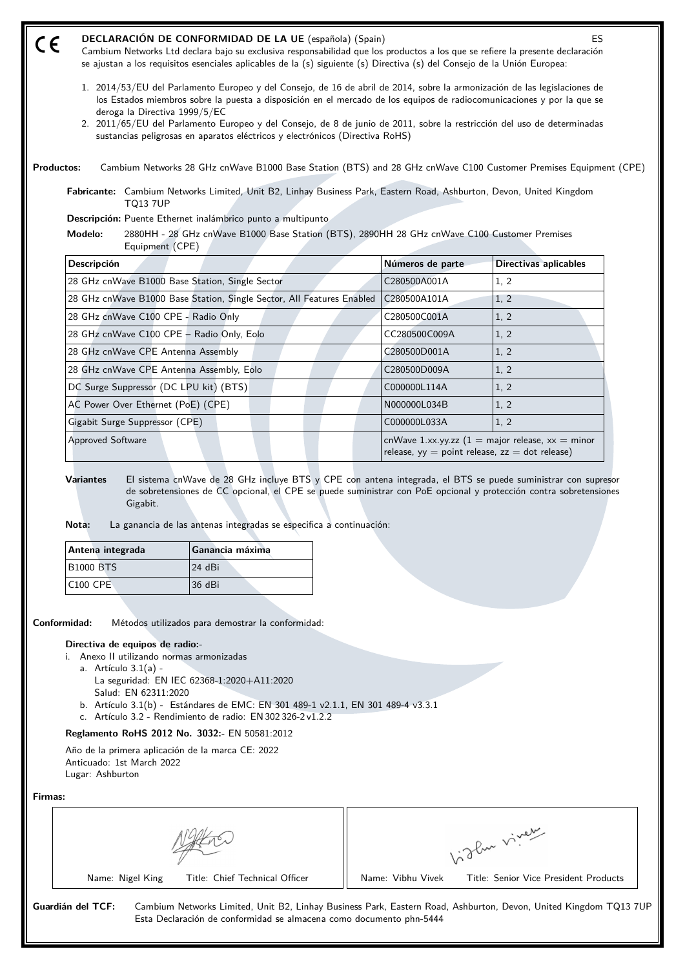| ES<br>Cambium Networks Ltd declara bajo su exclusiva responsabilidad que los productos a los que se refiere la presente declaración<br>se ajustan a los requisitos esenciales aplicables de la (s) siguiente (s) Directiva (s) del Consejo de la Unión Europea:                                                                                                                |                                                                                                                                                                                                                                                                                                                                                              |
|--------------------------------------------------------------------------------------------------------------------------------------------------------------------------------------------------------------------------------------------------------------------------------------------------------------------------------------------------------------------------------|--------------------------------------------------------------------------------------------------------------------------------------------------------------------------------------------------------------------------------------------------------------------------------------------------------------------------------------------------------------|
| 1. 2014/53/EU del Parlamento Europeo y del Consejo, de 16 de abril de 2014, sobre la armonización de las legislaciones de<br>los Estados miembros sobre la puesta a disposición en el mercado de los equipos de radiocomunicaciones y por la que se<br>2. 2011/65/EU del Parlamento Europeo y del Consejo, de 8 de junio de 2011, sobre la restricción del uso de determinadas |                                                                                                                                                                                                                                                                                                                                                              |
| Cambium Networks 28 GHz cnWave B1000 Base Station (BTS) and 28 GHz cnWave C100 Customer Premises Equipment (CPE)                                                                                                                                                                                                                                                               |                                                                                                                                                                                                                                                                                                                                                              |
| Fabricante: Cambium Networks Limited, Unit B2, Linhay Business Park, Eastern Road, Ashburton, Devon, United Kingdom                                                                                                                                                                                                                                                            |                                                                                                                                                                                                                                                                                                                                                              |
| 2880HH - 28 GHz cnWave B1000 Base Station (BTS), 2890HH 28 GHz cnWave C100 Customer Premises                                                                                                                                                                                                                                                                                   |                                                                                                                                                                                                                                                                                                                                                              |
| <b>Directivas aplicables</b>                                                                                                                                                                                                                                                                                                                                                   |                                                                                                                                                                                                                                                                                                                                                              |
| 1, 2                                                                                                                                                                                                                                                                                                                                                                           |                                                                                                                                                                                                                                                                                                                                                              |
| 1, 2                                                                                                                                                                                                                                                                                                                                                                           |                                                                                                                                                                                                                                                                                                                                                              |
| 1, 2                                                                                                                                                                                                                                                                                                                                                                           |                                                                                                                                                                                                                                                                                                                                                              |
| 1, 2                                                                                                                                                                                                                                                                                                                                                                           |                                                                                                                                                                                                                                                                                                                                                              |
| 1, 2                                                                                                                                                                                                                                                                                                                                                                           |                                                                                                                                                                                                                                                                                                                                                              |
| 1, 2                                                                                                                                                                                                                                                                                                                                                                           |                                                                                                                                                                                                                                                                                                                                                              |
| 1, 2                                                                                                                                                                                                                                                                                                                                                                           |                                                                                                                                                                                                                                                                                                                                                              |
| 1, 2                                                                                                                                                                                                                                                                                                                                                                           |                                                                                                                                                                                                                                                                                                                                                              |
| 1, 2                                                                                                                                                                                                                                                                                                                                                                           |                                                                                                                                                                                                                                                                                                                                                              |
|                                                                                                                                                                                                                                                                                                                                                                                |                                                                                                                                                                                                                                                                                                                                                              |
|                                                                                                                                                                                                                                                                                                                                                                                | cnWave 1.xx.yy.zz $(1 = \text{major release}, xx = \text{minor})$<br>release, $yy = point$ release, $zz = dot$ release)<br>El sistema cnWave de 28 GHz incluye BTS y CPE con antena integrada, el BTS se puede suministrar con supresor<br>de sobretensiones de CC opcional, el CPE se puede suministrar con PoE opcional y protección contra sobretensiones |

**Nota:** La ganancia de las antenas integradas se especifica a continuación:

| Antena integrada | Ganancia máxima |
|------------------|-----------------|
| <b>B1000 BTS</b> | 124 dBi         |
| $ C100$ CPE      | 136 dBi         |

**Conformidad:** Métodos utilizados para demostrar la conformidad:

## **Directiva de equipos de radio:-**

- i. Anexo II utilizando normas armonizadas
	- a. Artículo 3.1(a) La seguridad: EN IEC 62368‑1:2020+A11:2020
	- Salud: EN 62311:2020
	- b. Artículo 3.1(b) Estándares de EMC: EN 301 489-1 v2.1.1, EN 301 489-4 v3.3.1
	- c. Artículo 3.2 Rendimiento de radio: EN 302 326-2 v1.2.2

# **Reglamento RoHS 2012 No. 3032:-** EN 50581:2012

Año de la primera aplicación de la marca CE: 2022 Anticuado: 1st March 2022 Lugar: Ashburton

**Firmas:**

|                                | سمب<br>$\nu_{\bf w}$                  |
|--------------------------------|---------------------------------------|
| Name: Nigel King               | Title: Senior Vice President Products |
| Title: Chief Technical Officer | Name: Vibhu Vivek                     |

**Guardián del TCF:** Cambium Networks Limited, Unit B2, Linhay Business Park, Eastern Road, Ashburton, Devon, United Kingdom TQ13 7UP Esta Declaración de conformidad se almacena como documento phn-5444